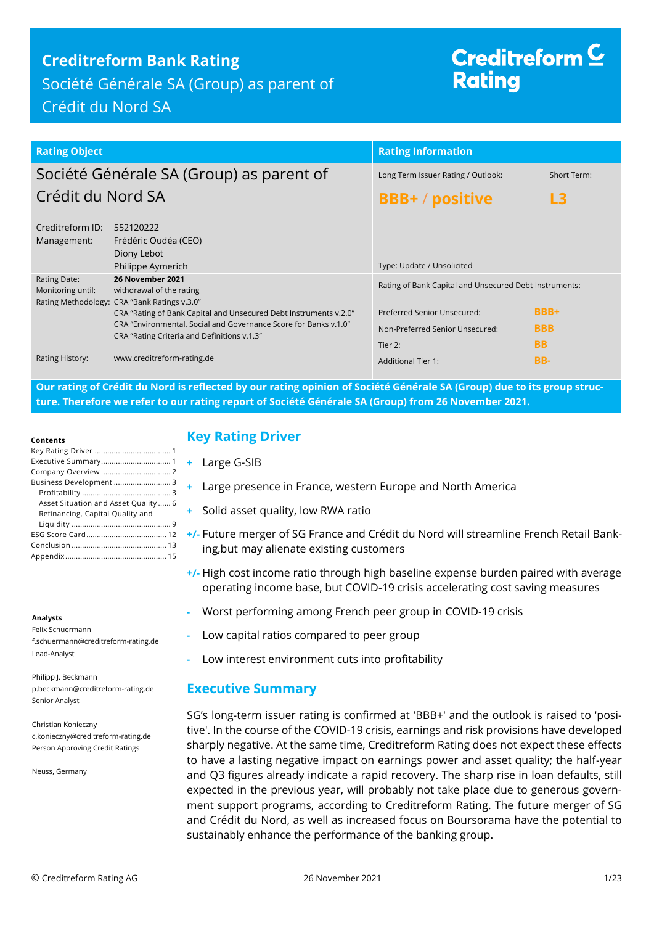## **Creditreform Bank Rating**

Société Générale SA (Group) as parent of Crédit du Nord SA

# Creditreform  $\subseteq$ **Rating**

| <b>Rating Object</b>                     |                                                                                                                                                                                                                                      | <b>Rating Information</b>                                                 |                                        |
|------------------------------------------|--------------------------------------------------------------------------------------------------------------------------------------------------------------------------------------------------------------------------------------|---------------------------------------------------------------------------|----------------------------------------|
| Société Générale SA (Group) as parent of |                                                                                                                                                                                                                                      | Long Term Issuer Rating / Outlook:                                        | Short Term:                            |
| Crédit du Nord SA                        |                                                                                                                                                                                                                                      | <b>BBB+</b> / positive                                                    | L3                                     |
| Creditreform ID:<br>Management:          | 552120222<br>Frédéric Oudéa (CEO)<br>Diony Lebot                                                                                                                                                                                     | Type: Update / Unsolicited                                                |                                        |
| Rating Date:<br>Monitoring until:        | Philippe Aymerich<br>26 November 2021<br>withdrawal of the rating                                                                                                                                                                    | Rating of Bank Capital and Unsecured Debt Instruments:                    |                                        |
|                                          | Rating Methodology: CRA "Bank Ratings v.3.0"<br>CRA "Rating of Bank Capital and Unsecured Debt Instruments v.2.0"<br>CRA "Environmental, Social and Governance Score for Banks v.1.0"<br>CRA "Rating Criteria and Definitions v.1.3" | Preferred Senior Unsecured:<br>Non-Preferred Senior Unsecured:<br>Tier 2: | <b>BBB+</b><br><b>BBB</b><br><b>BB</b> |
| Rating History:                          | www.creditreform-rating.de                                                                                                                                                                                                           | <b>Additional Tier 1:</b>                                                 | BB-                                    |

**Our rating of Crédit du Nord is reflected by our rating opinion of Société Générale SA (Group) due to its group structure. Therefore we refer to our rating report of Société Générale SA (Group) from 26 November 2021.**

#### **Contents**

| Business Development 3               |
|--------------------------------------|
|                                      |
| Asset Situation and Asset Quality  6 |
| Refinancing, Capital Quality and     |
|                                      |
|                                      |
|                                      |
|                                      |

#### **Analysts**

Felix Schuermann f.schuermann@creditreform-rating.de Lead-Analyst

Philipp J. Beckmann p.beckmann@creditreform-rating.de Senior Analyst

Christian Konieczny c.konieczny@creditreform-rating.de Person Approving Credit Ratings

Neuss, Germany

## <span id="page-0-0"></span>**Key Rating Driver**

- **+** Large G-SIB
- **+** Large presence in France, western Europe and North America
- **+** Solid asset quality, low RWA ratio
- **+/-** Future merger of SG France and Crédit du Nord will streamline French Retail Banking,but may alienate existing customers
- **+/-** High cost income ratio through high baseline expense burden paired with average operating income base, but COVID-19 crisis accelerating cost saving measures
- **-** Worst performing among French peer group in COVID-19 crisis
- **-** Low capital ratios compared to peer group
- **-** Low interest environment cuts into profitability

## <span id="page-0-1"></span>**Executive Summary**

SG's long-term issuer rating is confirmed at 'BBB+' and the outlook is raised to 'positive'. In the course of the COVID-19 crisis, earnings and risk provisions have developed sharply negative. At the same time, Creditreform Rating does not expect these effects to have a lasting negative impact on earnings power and asset quality; the half-year and Q3 figures already indicate a rapid recovery. The sharp rise in loan defaults, still expected in the previous year, will probably not take place due to generous government support programs, according to Creditreform Rating. The future merger of SG and Crédit du Nord, as well as increased focus on Boursorama have the potential to sustainably enhance the performance of the banking group.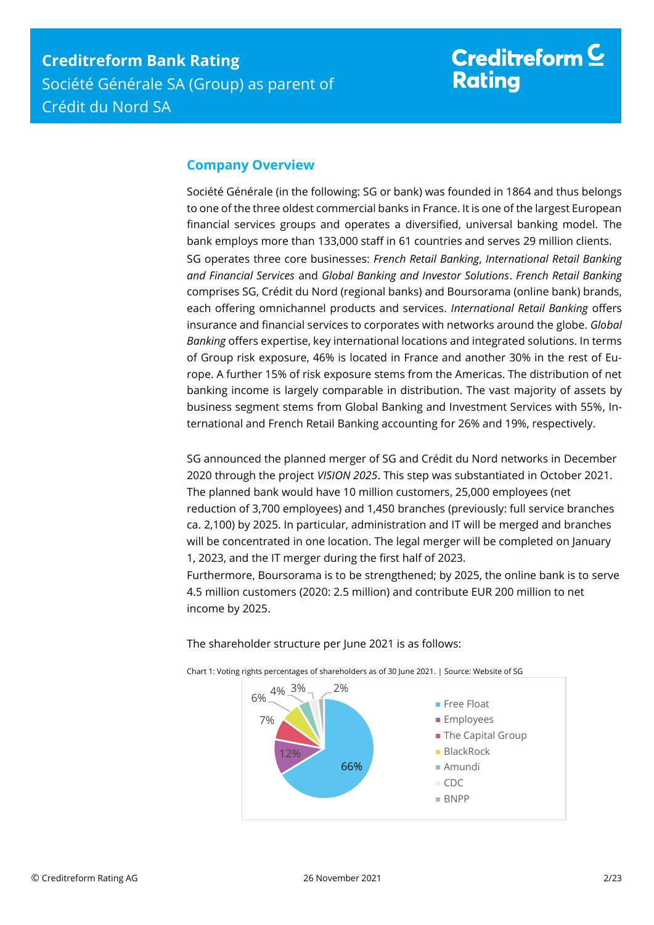## <span id="page-1-0"></span>**Company Overview**

Société Générale (in the following: SG or bank) was founded in 1864 and thus belongs to one of the three oldest commercial banks in France. It is one of the largest European financial services groups and operates a diversified, universal banking model. The bank employs more than 133,000 staff in 61 countries and serves 29 million clients. SG operates three core businesses: *French Retail Banking*, *International Retail Banking and Financial Services* and *Global Banking and Investor Solutions*. *French Retail Banking* comprises SG, Crédit du Nord (regional banks) and Boursorama (online bank) brands, each offering omnichannel products and services. *International Retail Banking* offers insurance and financial services to corporates with networks around the globe. *Global Banking* offers expertise, key international locations and integrated solutions. In terms of Group risk exposure, 46% is located in France and another 30% in the rest of Europe. A further 15% of risk exposure stems from the Americas. The distribution of net banking income is largely comparable in distribution. The vast majority of assets by business segment stems from Global Banking and Investment Services with 55%, International and French Retail Banking accounting for 26% and 19%, respectively.

SG announced the planned merger of SG and Crédit du Nord networks in December 2020 through the project *VISION 2025*. This step was substantiated in October 2021. The planned bank would have 10 million customers, 25,000 employees (net reduction of 3,700 employees) and 1,450 branches (previously: full service branches ca. 2,100) by 2025. In particular, administration and IT will be merged and branches will be concentrated in one location. The legal merger will be completed on January 1, 2023, and the IT merger during the first half of 2023.

Furthermore, Boursorama is to be strengthened; by 2025, the online bank is to serve 4.5 million customers (2020: 2.5 million) and contribute EUR 200 million to net income by 2025.



The shareholder structure per June 2021 is as follows: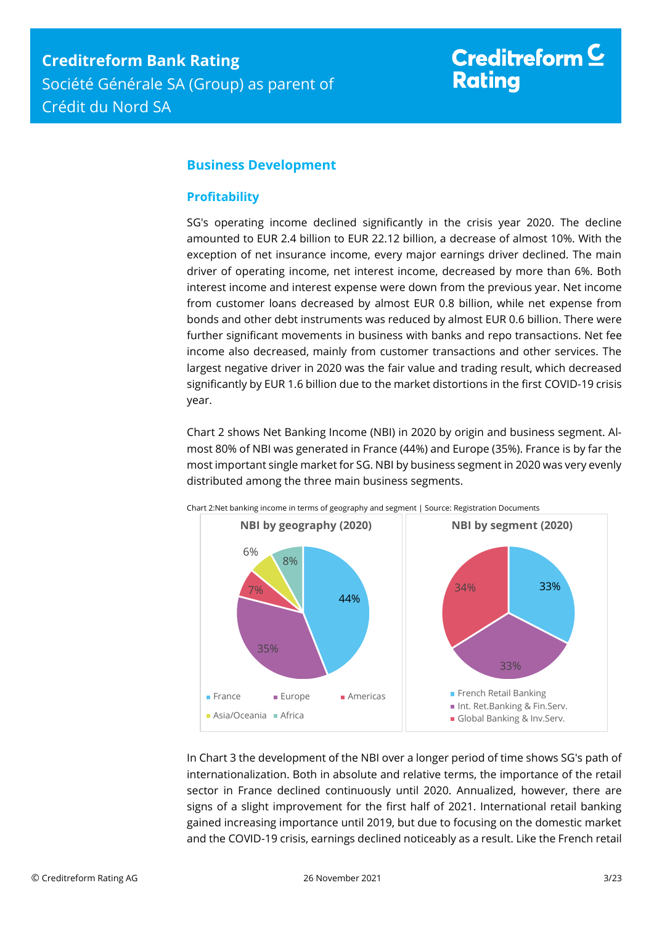## <span id="page-2-0"></span>**Business Development**

### <span id="page-2-1"></span>**Profitability**

SG's operating income declined significantly in the crisis year 2020. The decline amounted to EUR 2.4 billion to EUR 22.12 billion, a decrease of almost 10%. With the exception of net insurance income, every major earnings driver declined. The main driver of operating income, net interest income, decreased by more than 6%. Both interest income and interest expense were down from the previous year. Net income from customer loans decreased by almost EUR 0.8 billion, while net expense from bonds and other debt instruments was reduced by almost EUR 0.6 billion. There were further significant movements in business with banks and repo transactions. Net fee income also decreased, mainly from customer transactions and other services. The largest negative driver in 2020 was the fair value and trading result, which decreased significantly by EUR 1.6 billion due to the market distortions in the first COVID-19 crisis year.

Chart 2 shows Net Banking Income (NBI) in 2020 by origin and business segment. Almost 80% of NBI was generated in France (44%) and Europe (35%). France is by far the most important single market for SG. NBI by business segment in 2020 was very evenly distributed among the three main business segments.



Chart 2:Net banking income in terms of geography and segment | Source: Registration Documents

In Chart 3 the development of the NBI over a longer period of time shows SG's path of internationalization. Both in absolute and relative terms, the importance of the retail sector in France declined continuously until 2020. Annualized, however, there are signs of a slight improvement for the first half of 2021. International retail banking gained increasing importance until 2019, but due to focusing on the domestic market and the COVID-19 crisis, earnings declined noticeably as a result. Like the French retail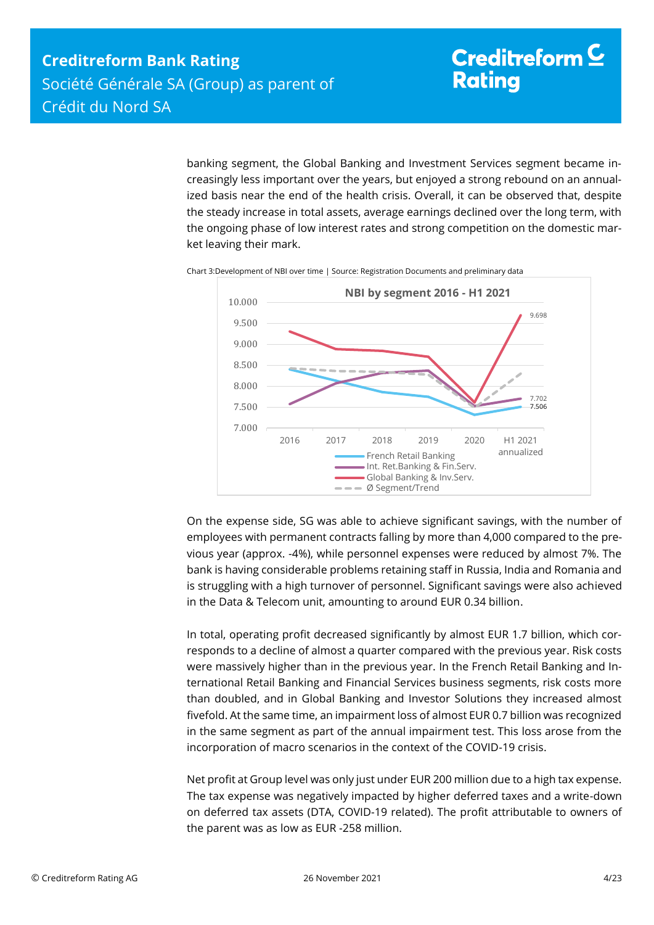banking segment, the Global Banking and Investment Services segment became increasingly less important over the years, but enjoyed a strong rebound on an annualized basis near the end of the health crisis. Overall, it can be observed that, despite the steady increase in total assets, average earnings declined over the long term, with the ongoing phase of low interest rates and strong competition on the domestic market leaving their mark.



Chart 3:Development of NBI over time | Source: Registration Documents and preliminary data

On the expense side, SG was able to achieve significant savings, with the number of employees with permanent contracts falling by more than 4,000 compared to the previous year (approx. -4%), while personnel expenses were reduced by almost 7%. The bank is having considerable problems retaining staff in Russia, India and Romania and is struggling with a high turnover of personnel. Significant savings were also achieved in the Data & Telecom unit, amounting to around EUR 0.34 billion.

In total, operating profit decreased significantly by almost EUR 1.7 billion, which corresponds to a decline of almost a quarter compared with the previous year. Risk costs were massively higher than in the previous year. In the French Retail Banking and International Retail Banking and Financial Services business segments, risk costs more than doubled, and in Global Banking and Investor Solutions they increased almost fivefold. At the same time, an impairment loss of almost EUR 0.7 billion was recognized in the same segment as part of the annual impairment test. This loss arose from the incorporation of macro scenarios in the context of the COVID-19 crisis.

Net profit at Group level was only just under EUR 200 million due to a high tax expense. The tax expense was negatively impacted by higher deferred taxes and a write-down on deferred tax assets (DTA, COVID-19 related). The profit attributable to owners of the parent was as low as EUR -258 million.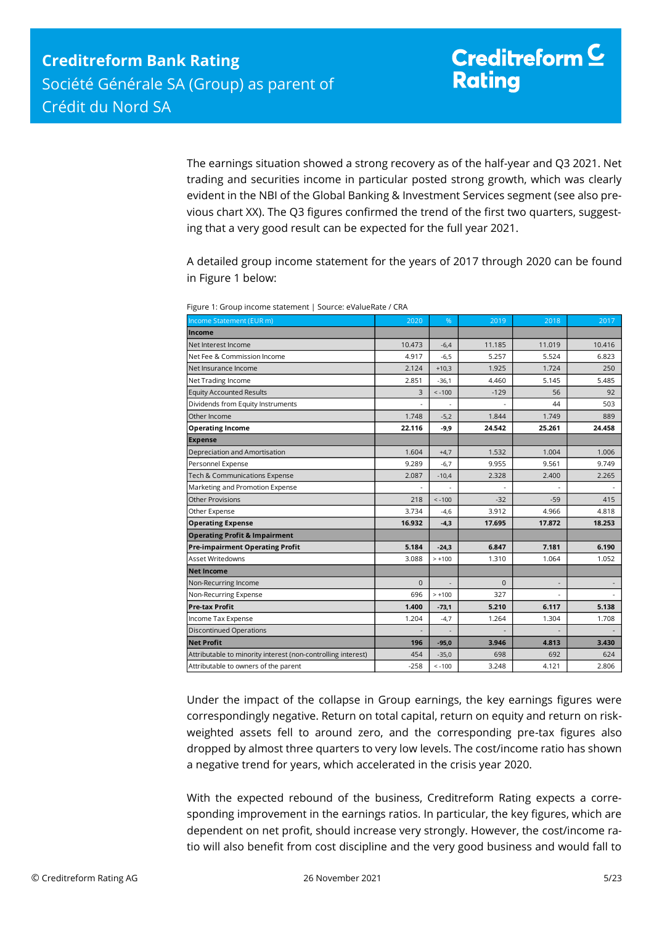The earnings situation showed a strong recovery as of the half-year and Q3 2021. Net trading and securities income in particular posted strong growth, which was clearly evident in the NBI of the Global Banking & Investment Services segment (see also previous chart XX). The Q3 figures confirmed the trend of the first two quarters, suggesting that a very good result can be expected for the full year 2021.

A detailed group income statement for the years of 2017 through 2020 can be found in Figure 1 below:

| Income Statement (EUR m)                                                                                                                                                                                                                                                                                                                                                                                                          | 2020        | %        | 2019        | 2018           | 2017   |
|-----------------------------------------------------------------------------------------------------------------------------------------------------------------------------------------------------------------------------------------------------------------------------------------------------------------------------------------------------------------------------------------------------------------------------------|-------------|----------|-------------|----------------|--------|
| Income                                                                                                                                                                                                                                                                                                                                                                                                                            |             |          |             |                |        |
| Net Interest Income                                                                                                                                                                                                                                                                                                                                                                                                               | 10.473      | $-6,4$   | 11.185      | 11.019         | 10.416 |
| Net Fee & Commission Income                                                                                                                                                                                                                                                                                                                                                                                                       | 4.917       | $-6,5$   | 5.257       | 5.524          | 6.823  |
| Net Insurance Income                                                                                                                                                                                                                                                                                                                                                                                                              | 2.124       | $+10,3$  | 1.925       | 1.724          | 250    |
| Net Trading Income                                                                                                                                                                                                                                                                                                                                                                                                                | 2.851       | $-36,1$  | 4.460       | 5.145          | 5.485  |
| <b>Equity Accounted Results</b>                                                                                                                                                                                                                                                                                                                                                                                                   | 3           | $< -100$ | $-129$      | 56             | 92     |
| Dividends from Equity Instruments                                                                                                                                                                                                                                                                                                                                                                                                 |             |          |             | 44             | 503    |
| Other Income                                                                                                                                                                                                                                                                                                                                                                                                                      | 1.748       | $-5,2$   | 1.844       | 1.749          | 889    |
| <b>Operating Income</b>                                                                                                                                                                                                                                                                                                                                                                                                           | 22.116      | $-9,9$   | 24.542      | 25.261         | 24.458 |
| <b>Expense</b>                                                                                                                                                                                                                                                                                                                                                                                                                    |             |          |             |                |        |
| Depreciation and Amortisation                                                                                                                                                                                                                                                                                                                                                                                                     | 1.604       | $+4,7$   | 1.532       | 1.004          | 1.006  |
| Personnel Expense                                                                                                                                                                                                                                                                                                                                                                                                                 | 9.289       | $-6,7$   | 9.955       | 9.561          | 9.749  |
| Tech & Communications Expense                                                                                                                                                                                                                                                                                                                                                                                                     | 2.087       | $-10,4$  | 2.328       | 2.400          | 2.265  |
| Marketing and Promotion Expense                                                                                                                                                                                                                                                                                                                                                                                                   |             |          |             |                |        |
| Other Provisions                                                                                                                                                                                                                                                                                                                                                                                                                  | 218         | $< -100$ | $-32$       | $-59$          | 415    |
| Other Expense                                                                                                                                                                                                                                                                                                                                                                                                                     | 3.734       | $-4,6$   | 3.912       | 4.966          | 4.818  |
| <b>Operating Expense</b>                                                                                                                                                                                                                                                                                                                                                                                                          | 16.932      | $-4,3$   | 17.695      | 17.872         | 18.253 |
| <b>Operating Profit &amp; Impairment</b>                                                                                                                                                                                                                                                                                                                                                                                          |             |          |             |                |        |
| <b>Pre-impairment Operating Profit</b>                                                                                                                                                                                                                                                                                                                                                                                            | 5.184       | $-24,3$  | 6.847       | 7.181          | 6.190  |
| Asset Writedowns                                                                                                                                                                                                                                                                                                                                                                                                                  | 3.088       | $> +100$ | 1.310       | 1.064          | 1.052  |
| <b>Net Income</b>                                                                                                                                                                                                                                                                                                                                                                                                                 |             |          |             |                |        |
| Non-Recurring Income                                                                                                                                                                                                                                                                                                                                                                                                              | $\mathbf 0$ |          | $\mathbf 0$ | $\overline{a}$ |        |
| Non-Recurring Expense                                                                                                                                                                                                                                                                                                                                                                                                             | 696         | $> +100$ | 327         |                |        |
| Pre-tax Profit                                                                                                                                                                                                                                                                                                                                                                                                                    | 1.400       | $-73,1$  | 5.210       | 6.117          | 5.138  |
| Income Tax Expense                                                                                                                                                                                                                                                                                                                                                                                                                | 1.204       | -4,7     | 1.264       | 1.304          | 1.708  |
| <b>Discontinued Operations</b>                                                                                                                                                                                                                                                                                                                                                                                                    |             |          |             |                |        |
| <b>Net Profit</b>                                                                                                                                                                                                                                                                                                                                                                                                                 | 196         | $-95,0$  | 3.946       | 4.813          | 3.430  |
| Attributable to minority interest (non-controlling interest)                                                                                                                                                                                                                                                                                                                                                                      | 454         | $-35,0$  | 698         | 692            | 624    |
| Attributable to owners of the parent                                                                                                                                                                                                                                                                                                                                                                                              | $-258$      | $< -100$ | 3.248       | 4.121          | 2.806  |
| Under the impact of the collapse in Group earnings, the key earnings figures were<br>correspondingly negative. Return on total capital, return on equity and return on risk-<br>weighted assets fell to around zero, and the corresponding pre-tax figures also<br>dropped by almost three quarters to very low levels. The cost/income ratio has shown<br>a negative trend for years, which accelerated in the crisis year 2020. |             |          |             |                |        |
| With the expected rebound of the business, Creditreform Rating expects a corre-<br>sponding improvement in the earnings ratios. In particular, the key figures, which are<br>dependent on net profit, should increase very strongly. However, the cost/income ra-<br>tio will also benefit from cost discipline and the very good business and would fall to                                                                      |             |          |             |                |        |

Figure 1: Group income statement | Source: eValueRate / CRA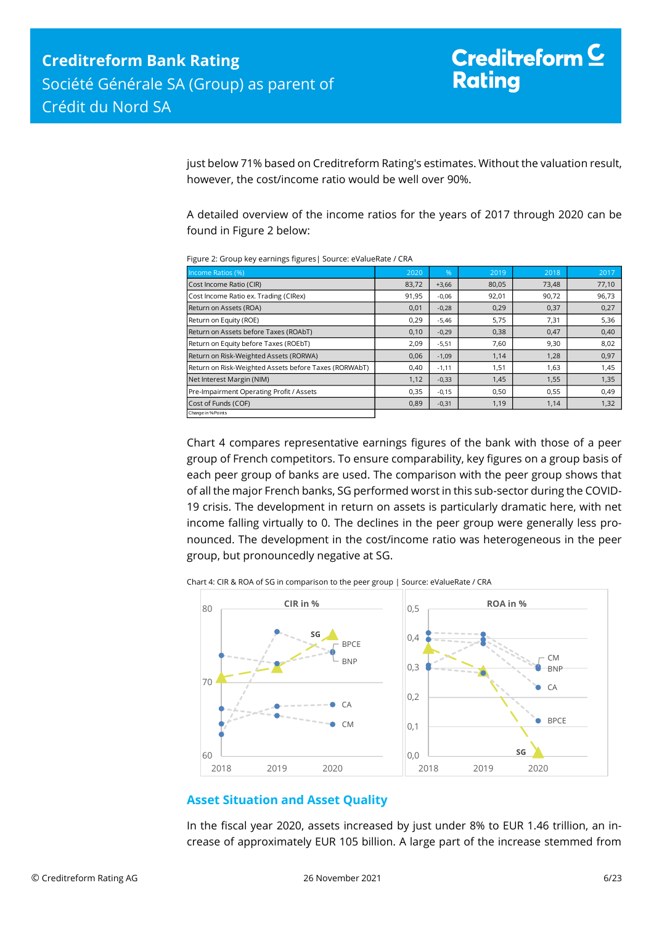just below 71% based on Creditreform Rating's estimates. Without the valuation result, however, the cost/income ratio would be well over 90%.

A detailed overview of the income ratios for the years of 2017 through 2020 can be found in Figure 2 below:

| Income Ratios (%)                                     | 2020  | %       | 2019  | 2018  | 2017  |
|-------------------------------------------------------|-------|---------|-------|-------|-------|
| Cost Income Ratio (CIR)                               | 83,72 | $+3,66$ | 80,05 | 73,48 | 77,10 |
| Cost Income Ratio ex. Trading (CIRex)                 | 91,95 | $-0,06$ | 92,01 | 90,72 | 96,73 |
| Return on Assets (ROA)                                | 0,01  | $-0,28$ | 0,29  | 0,37  | 0,27  |
| Return on Equity (ROE)                                | 0,29  | $-5,46$ | 5,75  | 7,31  | 5,36  |
| Return on Assets before Taxes (ROAbT)                 | 0,10  | $-0,29$ | 0,38  | 0,47  | 0,40  |
| Return on Equity before Taxes (ROEbT)                 | 2,09  | $-5,51$ | 7,60  | 9,30  | 8,02  |
| Return on Risk-Weighted Assets (RORWA)                | 0,06  | $-1,09$ | 1,14  | 1,28  | 0,97  |
| Return on Risk-Weighted Assets before Taxes (RORWAbT) | 0,40  | $-1,11$ | 1,51  | 1,63  | 1,45  |
| Net Interest Margin (NIM)                             | 1,12  | $-0,33$ | 1,45  | 1,55  | 1,35  |
| Pre-Impairment Operating Profit / Assets              | 0,35  | $-0,15$ | 0,50  | 0,55  | 0,49  |
| Cost of Funds (COF)                                   | 0,89  | $-0,31$ | 1,19  | 1,14  | 1,32  |
| Change in % Points                                    |       |         |       |       |       |

Figure 2: Group key earnings figures| Source: eValueRate / CRA

Chart 4 compares representative earnings figures of the bank with those of a peer group of French competitors. To ensure comparability, key figures on a group basis of each peer group of banks are used. The comparison with the peer group shows that of all the major French banks, SG performed worst in this sub-sector during the COVID-19 crisis. The development in return on assets is particularly dramatic here, with net income falling virtually to 0. The declines in the peer group were generally less pronounced. The development in the cost/income ratio was heterogeneous in the peer group, but pronouncedly negative at SG.

Chart 4: CIR & ROA of SG in comparison to the peer group | Source: eValueRate / CRA



### <span id="page-5-0"></span>**Asset Situation and Asset Quality**

In the fiscal year 2020, assets increased by just under 8% to EUR 1.46 trillion, an increase of approximately EUR 105 billion. A large part of the increase stemmed from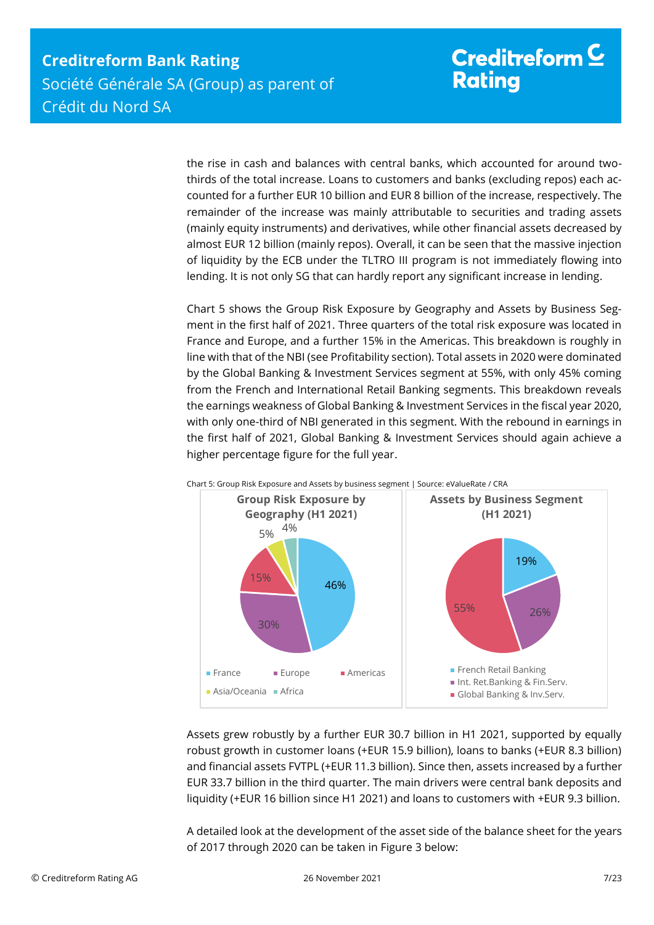the rise in cash and balances with central banks, which accounted for around twothirds of the total increase. Loans to customers and banks (excluding repos) each accounted for a further EUR 10 billion and EUR 8 billion of the increase, respectively. The remainder of the increase was mainly attributable to securities and trading assets (mainly equity instruments) and derivatives, while other financial assets decreased by almost EUR 12 billion (mainly repos). Overall, it can be seen that the massive injection of liquidity by the ECB under the TLTRO III program is not immediately flowing into lending. It is not only SG that can hardly report any significant increase in lending.

Chart 5 shows the Group Risk Exposure by Geography and Assets by Business Segment in the first half of 2021. Three quarters of the total risk exposure was located in France and Europe, and a further 15% in the Americas. This breakdown is roughly in line with that of the NBI (see Profitability section). Total assets in 2020 were dominated by the Global Banking & Investment Services segment at 55%, with only 45% coming from the French and International Retail Banking segments. This breakdown reveals the earnings weakness of Global Banking & Investment Services in the fiscal year 2020, with only one-third of NBI generated in this segment. With the rebound in earnings in the first half of 2021, Global Banking & Investment Services should again achieve a higher percentage figure for the full year.



Assets grew robustly by a further EUR 30.7 billion in H1 2021, supported by equally robust growth in customer loans (+EUR 15.9 billion), loans to banks (+EUR 8.3 billion) and financial assets FVTPL (+EUR 11.3 billion). Since then, assets increased by a further EUR 33.7 billion in the third quarter. The main drivers were central bank deposits and liquidity (+EUR 16 billion since H1 2021) and loans to customers with +EUR 9.3 billion.

A detailed look at the development of the asset side of the balance sheet for the years of 2017 through 2020 can be taken in Figure 3 below: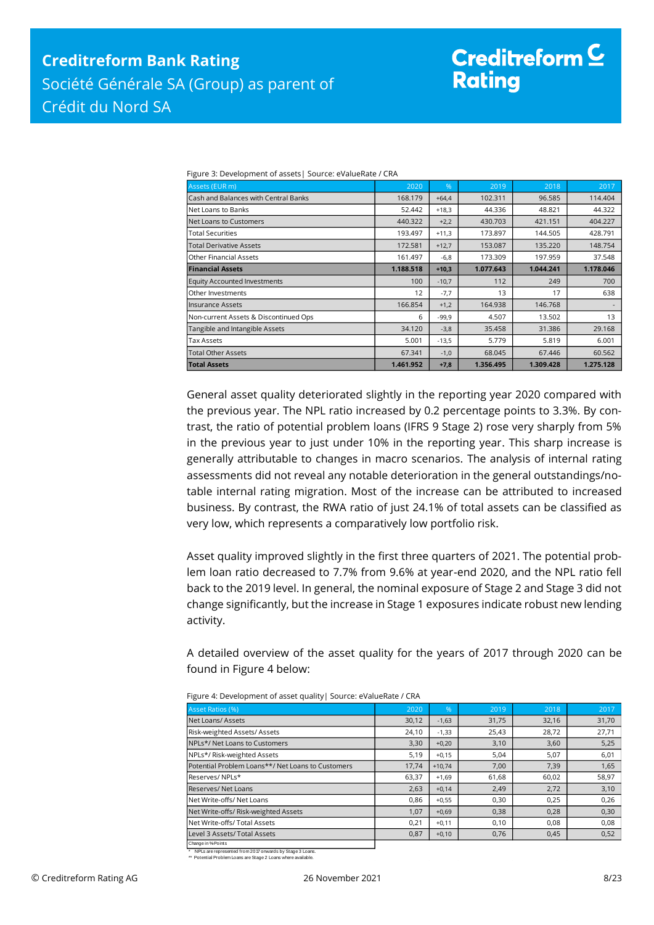# Creditreform  $\mathsf{\underline{C}}$ **Rating**

| Assets (EUR m)                        | 2020      | %       | 2019      | 2018      | 2017      |
|---------------------------------------|-----------|---------|-----------|-----------|-----------|
| Cash and Balances with Central Banks  | 168.179   | $+64.4$ | 102.311   | 96.585    | 114,404   |
| Net Loans to Banks                    | 52.442    | $+18,3$ | 44.336    | 48.821    | 44.322    |
| Net Loans to Customers                | 440.322   | $+2,2$  | 430.703   | 421.151   | 404.227   |
| <b>Total Securities</b>               | 193.497   | $+11,3$ | 173.897   | 144.505   | 428.791   |
| <b>Total Derivative Assets</b>        | 172.581   | $+12,7$ | 153.087   | 135.220   | 148.754   |
| Other Financial Assets                | 161.497   | $-6,8$  | 173.309   | 197.959   | 37.548    |
| <b>Financial Assets</b>               | 1.188.518 | $+10,3$ | 1.077.643 | 1.044.241 | 1.178.046 |
| <b>Equity Accounted Investments</b>   | 100       | $-10,7$ | 112       | 249       | 700       |
| Other Investments                     | 12        | $-7,7$  | 13        | 17        | 638       |
| llnsurance Assets                     | 166.854   | $+1,2$  | 164.938   | 146.768   |           |
| Non-current Assets & Discontinued Ops | 6         | $-99,9$ | 4.507     | 13.502    | 13        |
| Tangible and Intangible Assets        | 34.120    | $-3,8$  | 35.458    | 31.386    | 29.168    |
| Tax Assets                            | 5.001     | $-13,5$ | 5.779     | 5.819     | 6.001     |
| <b>Total Other Assets</b>             | 67.341    | $-1,0$  | 68.045    | 67.446    | 60.562    |
| <b>Total Assets</b>                   | 1.461.952 | $+7,8$  | 1.356.495 | 1.309.428 | 1.275.128 |

Figure 3: Development of assets| Source: eValueRate / CRA

General asset quality deteriorated slightly in the reporting year 2020 compared with the previous year. The NPL ratio increased by 0.2 percentage points to 3.3%. By contrast, the ratio of potential problem loans (IFRS 9 Stage 2) rose very sharply from 5% in the previous year to just under 10% in the reporting year. This sharp increase is generally attributable to changes in macro scenarios. The analysis of internal rating assessments did not reveal any notable deterioration in the general outstandings/notable internal rating migration. Most of the increase can be attributed to increased business. By contrast, the RWA ratio of just 24.1% of total assets can be classified as very low, which represents a comparatively low portfolio risk.

Asset quality improved slightly in the first three quarters of 2021. The potential problem loan ratio decreased to 7.7% from 9.6% at year-end 2020, and the NPL ratio fell back to the 2019 level. In general, the nominal exposure of Stage 2 and Stage 3 did not change significantly, but the increase in Stage 1 exposures indicate robust new lending activity.

A detailed overview of the asset quality for the years of 2017 through 2020 can be found in Figure 4 below:

| Asset Ratios (%)                                  | 2020  | %        | 2019  | 2018  | 2017  |  |
|---------------------------------------------------|-------|----------|-------|-------|-------|--|
| Net Loans/Assets                                  | 30,12 | $-1,63$  | 31,75 | 32,16 | 31,70 |  |
| Risk-weighted Assets/Assets                       | 24,10 | $-1,33$  | 25,43 | 28,72 | 27,71 |  |
| NPLs*/ Net Loans to Customers                     | 3,30  | $+0,20$  | 3,10  | 3,60  | 5,25  |  |
| NPLs*/ Risk-weighted Assets                       | 5,19  | $+0,15$  | 5,04  | 5,07  | 6,01  |  |
| Potential Problem Loans**/ Net Loans to Customers | 17,74 | $+10,74$ | 7,00  | 7,39  | 1,65  |  |
| Reserves/NPLs*                                    | 63,37 | $+1,69$  | 61,68 | 60,02 | 58,97 |  |
| Reserves/Net Loans                                | 2,63  | $+0,14$  | 2,49  | 2,72  | 3,10  |  |
| Net Write-offs/ Net Loans                         | 0,86  | $+0,55$  | 0,30  | 0,25  | 0,26  |  |
| Net Write-offs/ Risk-weighted Assets              | 1,07  | $+0,69$  | 0,38  | 0,28  | 0,30  |  |
| Net Write-offs/ Total Assets                      | 0,21  | $+0,11$  | 0,10  | 0,08  | 0,08  |  |
| Level 3 Assets/ Total Assets                      | 0,87  | $+0,10$  | 0,76  | 0,45  | 0,52  |  |
| Change in % Points                                |       |          |       |       |       |  |

Figure 4: Development of asset quality| Source: eValueRate / CRA

\* NPLs are represented from 2017 onwards by Stage 3 Loans. \*\* Potential Problem Loans are Stage 2 Loans where available.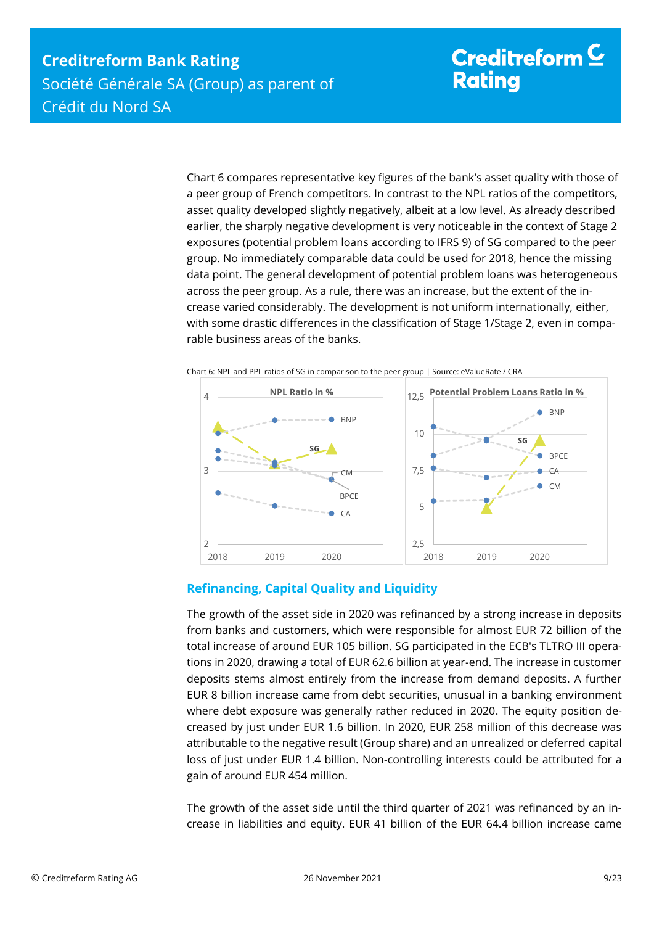Chart 6 compares representative key figures of the bank's asset quality with those of a peer group of French competitors. In contrast to the NPL ratios of the competitors, asset quality developed slightly negatively, albeit at a low level. As already described earlier, the sharply negative development is very noticeable in the context of Stage 2 exposures (potential problem loans according to IFRS 9) of SG compared to the peer group. No immediately comparable data could be used for 2018, hence the missing data point. The general development of potential problem loans was heterogeneous across the peer group. As a rule, there was an increase, but the extent of the increase varied considerably. The development is not uniform internationally, either, with some drastic differences in the classification of Stage 1/Stage 2, even in comparable business areas of the banks.



Chart 6: NPL and PPL ratios of SG in comparison to the peer group | Source: eValueRate / CRA

### <span id="page-8-0"></span>**Refinancing, Capital Quality and Liquidity**

The growth of the asset side in 2020 was refinanced by a strong increase in deposits from banks and customers, which were responsible for almost EUR 72 billion of the total increase of around EUR 105 billion. SG participated in the ECB's TLTRO III operations in 2020, drawing a total of EUR 62.6 billion at year-end. The increase in customer deposits stems almost entirely from the increase from demand deposits. A further EUR 8 billion increase came from debt securities, unusual in a banking environment where debt exposure was generally rather reduced in 2020. The equity position decreased by just under EUR 1.6 billion. In 2020, EUR 258 million of this decrease was attributable to the negative result (Group share) and an unrealized or deferred capital loss of just under EUR 1.4 billion. Non-controlling interests could be attributed for a gain of around EUR 454 million.

The growth of the asset side until the third quarter of 2021 was refinanced by an increase in liabilities and equity. EUR 41 billion of the EUR 64.4 billion increase came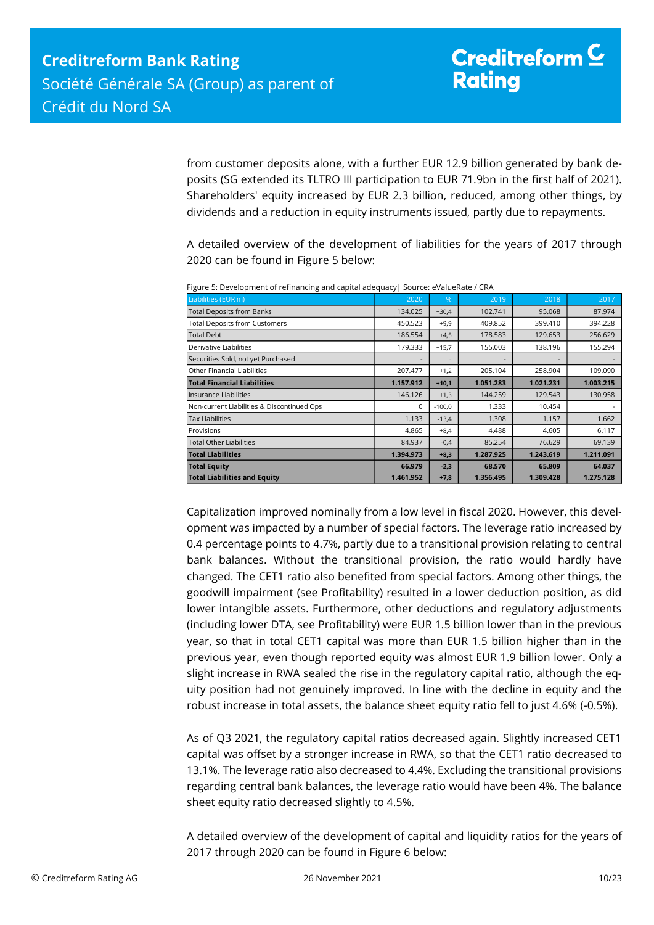from customer deposits alone, with a further EUR 12.9 billion generated by bank deposits (SG extended its TLTRO III participation to EUR 71.9bn in the first half of 2021). Shareholders' equity increased by EUR 2.3 billion, reduced, among other things, by dividends and a reduction in equity instruments issued, partly due to repayments.

A detailed overview of the development of liabilities for the years of 2017 through 2020 can be found in Figure 5 below:

| Liabilities (EUR m)                        | 2020      | %        | 2019      | 2018      | 2017      |
|--------------------------------------------|-----------|----------|-----------|-----------|-----------|
| <b>Total Deposits from Banks</b>           | 134.025   | $+30,4$  | 102.741   | 95.068    | 87.974    |
| <b>Total Deposits from Customers</b>       | 450.523   | $+9,9$   | 409.852   | 399.410   | 394.228   |
| <b>Total Debt</b>                          | 186.554   | $+4,5$   | 178.583   | 129.653   | 256.629   |
| Derivative Liabilities                     | 179.333   | $+15,7$  | 155.003   | 138.196   | 155.294   |
| Securities Sold, not yet Purchased         |           |          |           |           |           |
| Other Financial Liabilities                | 207.477   | $+1,2$   | 205.104   | 258.904   | 109.090   |
| <b>Total Financial Liabilities</b>         | 1.157.912 | $+10,1$  | 1.051.283 | 1.021.231 | 1.003.215 |
| Insurance Liabilities                      | 146.126   | $+1,3$   | 144.259   | 129.543   | 130.958   |
| Non-current Liabilities & Discontinued Ops | $\Omega$  | $-100,0$ | 1.333     | 10.454    |           |
| <b>Tax Liabilities</b>                     | 1.133     | $-13,4$  | 1.308     | 1.157     | 1.662     |
| Provisions                                 | 4.865     | $+8,4$   | 4.488     | 4.605     | 6.117     |
| <b>Total Other Liabilities</b>             | 84.937    | $-0,4$   | 85.254    | 76.629    | 69.139    |
| <b>Total Liabilities</b>                   | 1.394.973 | $+8,3$   | 1.287.925 | 1.243.619 | 1.211.091 |
| <b>Total Equity</b>                        | 66.979    | $-2,3$   | 68.570    | 65.809    | 64.037    |
| <b>Total Liabilities and Equity</b>        | 1.461.952 | $+7,8$   | 1.356.495 | 1.309.428 | 1.275.128 |

Figure 5: Development of refinancing and capital adequacy| Source: eValueRate / CRA

Capitalization improved nominally from a low level in fiscal 2020. However, this development was impacted by a number of special factors. The leverage ratio increased by 0.4 percentage points to 4.7%, partly due to a transitional provision relating to central bank balances. Without the transitional provision, the ratio would hardly have changed. The CET1 ratio also benefited from special factors. Among other things, the goodwill impairment (see Profitability) resulted in a lower deduction position, as did lower intangible assets. Furthermore, other deductions and regulatory adjustments (including lower DTA, see Profitability) were EUR 1.5 billion lower than in the previous year, so that in total CET1 capital was more than EUR 1.5 billion higher than in the previous year, even though reported equity was almost EUR 1.9 billion lower. Only a slight increase in RWA sealed the rise in the regulatory capital ratio, although the equity position had not genuinely improved. In line with the decline in equity and the robust increase in total assets, the balance sheet equity ratio fell to just 4.6% (-0.5%). 2018 Capitalization interved to a structure of the stress of the stress of the stress of the stress of the stress of the stress of the stress of the stress of the stress of the stress of the stress of the stress of the st

As of Q3 2021, the regulatory capital ratios decreased again. Slightly increased CET1 capital was offset by a stronger increase in RWA, so that the CET1 ratio decreased to 13.1%. The leverage ratio also decreased to 4.4%. Excluding the transitional provisions regarding central bank balances, the leverage ratio would have been 4%. The balance sheet equity ratio decreased slightly to 4.5%.

A detailed overview of the development of capital and liquidity ratios for the years of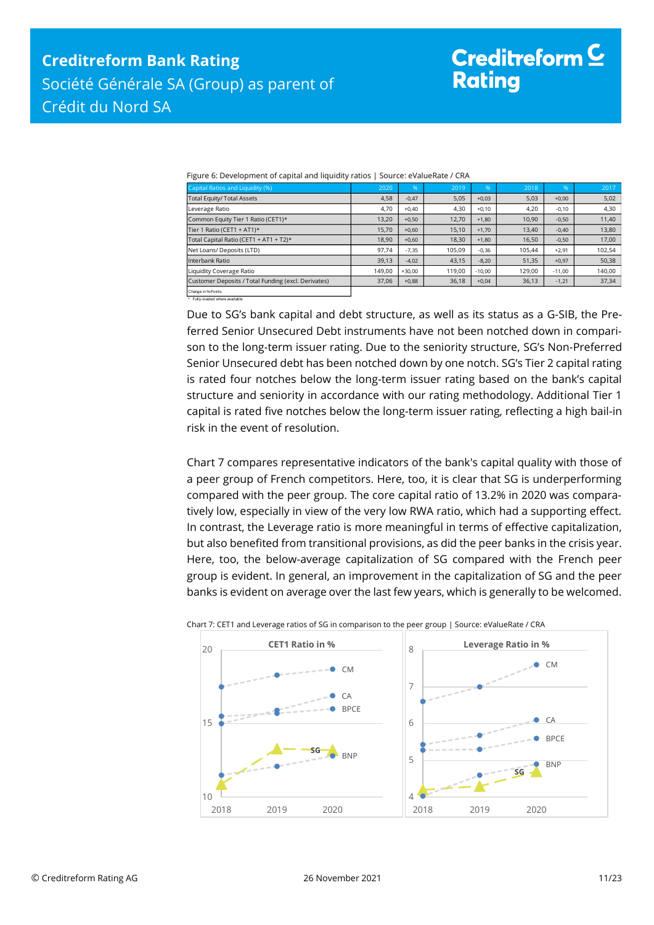Figure 6: Development of capital and liquidity ratios | Source: eValueRate / CRA

| Capital Ratios and Liquidity (%)                    | 2020   | .96      | 2019   | .96      | 2018   | $\%$     | 2017   |
|-----------------------------------------------------|--------|----------|--------|----------|--------|----------|--------|
| Total Equity/ Total Assets                          | 4,58   | $-0.47$  | 5,05   | $+0.03$  | 5,03   | $+0.00$  | 5,02   |
| Leverage Ratio                                      | 4,70   | $+0.40$  | 4,30   | $+0.10$  | 4,20   | $-0.10$  | 4,30   |
| Common Equity Tier 1 Ratio (CET1)*                  | 13,20  | $+0,50$  | 12.70  | $+1.80$  | 10,90  | $-0,50$  | 11,40  |
| Tier 1 Ratio (CET1 + AT1)*                          | 15,70  | $+0.60$  | 15,10  | $+1.70$  | 13,40  | $-0.40$  | 13,80  |
| Total Capital Ratio (CET1 + AT1 + T2)*              | 18.90  | $+0,60$  | 18,30  | $+1,80$  | 16,50  | $-0,50$  | 17,00  |
| Net Loans/ Deposits (LTD)                           | 97,74  | $-7,35$  | 105.09 | $-0,36$  | 105.44 | $+2,91$  | 102,54 |
| Interbank Ratio                                     | 39,13  | $-4.02$  | 43,15  | $-8.20$  | 51,35  | $+0.97$  | 50,38  |
| Liquidity Coverage Ratio                            | 149,00 | $+30.00$ | 119,00 | $-10.00$ | 129,00 | $-11.00$ | 140,00 |
| Customer Deposits / Total Funding (excl. Derivates) | 37,06  | $+0,88$  | 36,18  | $+0,04$  | 36,13  | $-1,21$  | 37,34  |
|                                                     |        |          |        |          |        |          |        |

Change in %-Points \* Fully-loaded where available

Due to SG's bank capital and debt structure, as well as its status as a G-SIB, the Preferred Senior Unsecured Debt instruments have not been notched down in comparison to the long-term issuer rating. Due to the seniority structure, SG's Non-Preferred Senior Unsecured debt has been notched down by one notch. SG's Tier 2 capital rating is rated four notches below the long-term issuer rating based on the bank's capital structure and seniority in accordance with our rating methodology. Additional Tier 1 capital is rated five notches below the long-term issuer rating, reflecting a high bail-in risk in the event of resolution.

Chart 7 compares representative indicators of the bank's capital quality with those of a peer group of French competitors. Here, too, it is clear that SG is underperforming compared with the peer group. The core capital ratio of 13.2% in 2020 was comparatively low, especially in view of the very low RWA ratio, which had a supporting effect. In contrast, the Leverage ratio is more meaningful in terms of effective capitalization, but also benefited from transitional provisions, as did the peer banks in the crisis year. Here, too, the below-average capitalization of SG compared with the French peer group is evident. In general, an improvement in the capitalization of SG and the peer banks is evident on average over the last few years, which is generally to be welcomed.



Chart 7: CET1 and Leverage ratios of SG in comparison to the peer group | Source: eValueRate / CRA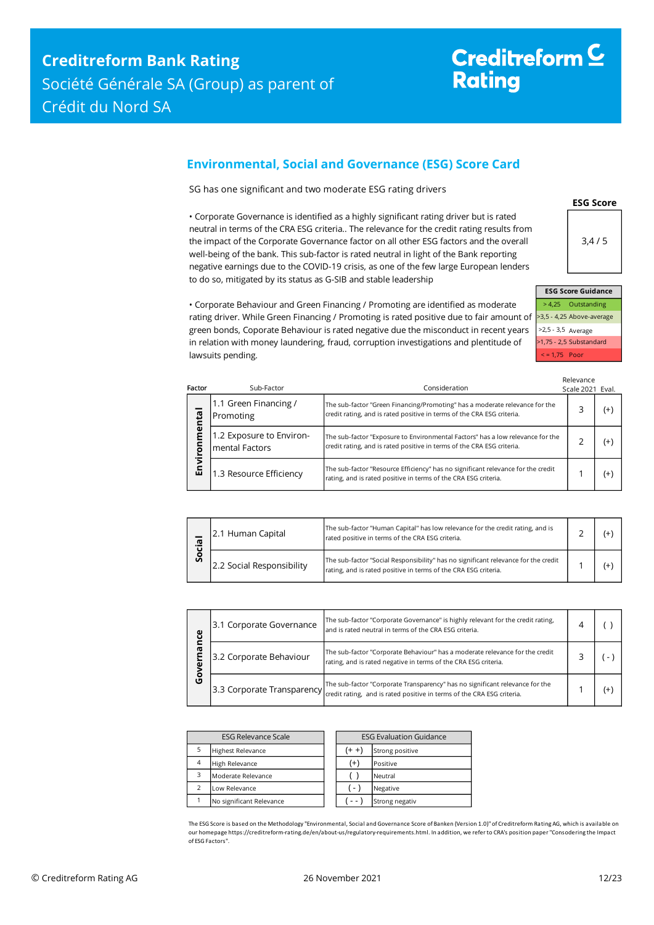### <span id="page-11-0"></span>**Environmental, Social and Governance (ESG) Score Card**

SG has one significant and two moderate ESG rating drivers

• Corporate Governance is identified as a highly significant rating driver but is rated neutral in terms of the CRA ESG criteria.. The relevance for the credit rating results from the impact of the Corporate Governance factor on all other ESG factors and the overall well-being of the bank. This sub-factor is rated neutral in light of the Bank reporting negative earnings due to the COVID-19 crisis, as one of the few large European lenders to do so, mitigated by its status as G-SIB and stable leadership

> 4,25 Outstanding >3,5 - 4,25 Above-average >2,5 - 3,5 Average >1,75 - 2,5 Substandard < = 1,75 Poor **ESG Score Guidance**

**ESG Score**

3,4 / 5

• Corporate Behaviour and Green Financing / Promoting are identified as moderate rating driver. While Green Financing / Promoting is rated positive due to fair amount of green bonds, Coporate Behaviour is rated negative due the misconduct in recent years in relation with money laundering, fraud, corruption investigations and plentitude of lawsuits pending.

| Factor      | Sub-Factor                                 | Consideration                                                                                                                                            | Relevance<br>Scale 2021 Eval. |          |
|-------------|--------------------------------------------|----------------------------------------------------------------------------------------------------------------------------------------------------------|-------------------------------|----------|
| ental       | 1.1 Green Financing /<br>Promoting         | The sub-factor "Green Financing/Promoting" has a moderate relevance for the<br>credit rating, and is rated positive in terms of the CRA ESG criteria.    |                               | $(+)$    |
| Ē<br>c<br>ē | 1.2 Exposure to Environ-<br>mental Factors | The sub-factor "Exposure to Environmental Factors" has a low relevance for the<br>credit rating, and is rated positive in terms of the CRA ESG criteria. |                               | $(+)$    |
| Envil       | 1.3 Resource Efficiency                    | The sub-factor "Resource Efficiency" has no significant relevance for the credit<br>rating, and is rated positive in terms of the CRA ESG criteria.      |                               | $^{(+)}$ |

|   | 2.1 Human Capital         | The sub-factor "Human Capital" has low relevance for the credit rating, and is<br>rated positive in terms of the CRA ESG criteria.                    |  |  |
|---|---------------------------|-------------------------------------------------------------------------------------------------------------------------------------------------------|--|--|
| Ū | 2.2 Social Responsibility | The sub-factor "Social Responsibility" has no significant relevance for the credit<br>rating, and is rated positive in terms of the CRA ESG criteria. |  |  |

| ပ္ပ    | 3.1 Corporate Governance                                                                                                                                                            | The sub-factor "Corporate Governance" is highly relevant for the credit rating,<br>4<br>and is rated neutral in terms of the CRA ESG criteria.  |  |  |
|--------|-------------------------------------------------------------------------------------------------------------------------------------------------------------------------------------|-------------------------------------------------------------------------------------------------------------------------------------------------|--|--|
| ᢐ      | 3.2 Corporate Behaviour                                                                                                                                                             | The sub-factor "Corporate Behaviour" has a moderate relevance for the credit<br>rating, and is rated negative in terms of the CRA ESG criteria. |  |  |
| o<br>ט | The sub-factor "Corporate Transparency" has no significant relevance for the<br>[3.3 Corporate Transparency] credit rating, and is rated positive in terms of the CRA ESG criteria. |                                                                                                                                                 |  |  |

|                | <b>ESG Relevance Scale</b> |                    | <b>ESG Evaluation Guidance</b> |
|----------------|----------------------------|--------------------|--------------------------------|
| 5              | <b>Highest Relevance</b>   | $(+ +)$            | Strong positive                |
| $\overline{4}$ | High Relevance             | $^{(+)}$           | Positive                       |
| 3              | Moderate Relevance         |                    | Neutral                        |
| $\mathcal{P}$  | Low Relevance              | $\left  - \right $ | Negative                       |
|                | No significant Relevance   |                    | Strong negativ                 |

The ESG Score is based on the Methodology "Environmental, Social and Governance Score of Banken (Version 1.0)" of Creditreform Rating AG, which is available on our homepage https://creditreform-rating.de/en/about-us/regulatory-requirements.html. In addition, we refer to CRA's position paper "Consodering the Impact of ESG Factors".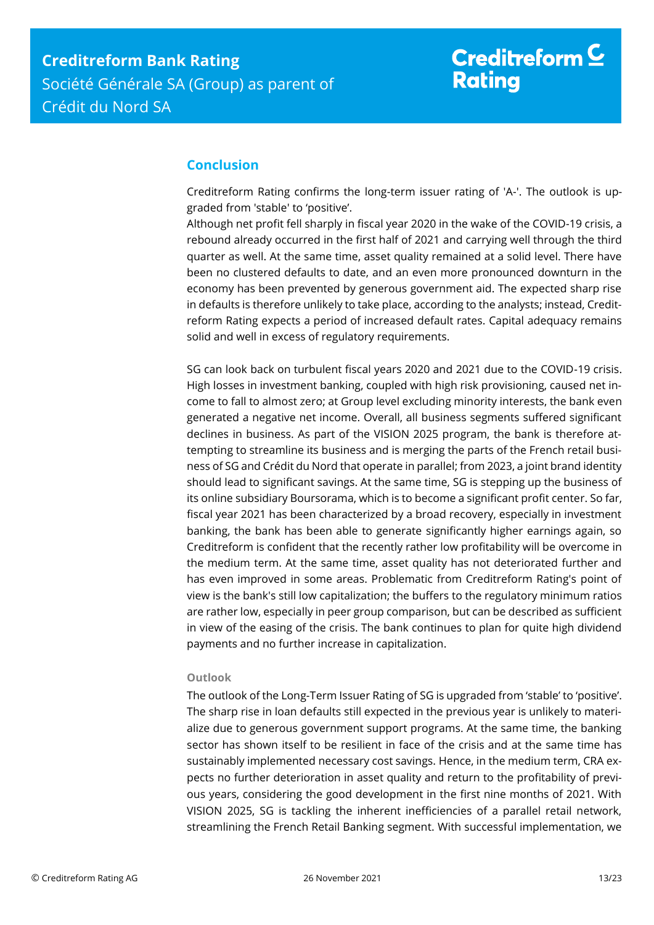# Creditreform  $\underline{\mathsf{C}}$ **Rating**

## <span id="page-12-0"></span>**Conclusion**

Creditreform Rating confirms the long-term issuer rating of 'A-'. The outlook is upgraded from 'stable' to 'positive'.

Although net profit fell sharply in fiscal year 2020 in the wake of the COVID-19 crisis, a rebound already occurred in the first half of 2021 and carrying well through the third quarter as well. At the same time, asset quality remained at a solid level. There have been no clustered defaults to date, and an even more pronounced downturn in the economy has been prevented by generous government aid. The expected sharp rise in defaults is therefore unlikely to take place, according to the analysts; instead, Creditreform Rating expects a period of increased default rates. Capital adequacy remains solid and well in excess of regulatory requirements.

SG can look back on turbulent fiscal years 2020 and 2021 due to the COVID-19 crisis. High losses in investment banking, coupled with high risk provisioning, caused net income to fall to almost zero; at Group level excluding minority interests, the bank even generated a negative net income. Overall, all business segments suffered significant declines in business. As part of the VISION 2025 program, the bank is therefore attempting to streamline its business and is merging the parts of the French retail business of SG and Crédit du Nord that operate in parallel; from 2023, a joint brand identity should lead to significant savings. At the same time, SG is stepping up the business of its online subsidiary Boursorama, which is to become a significant profit center. So far, fiscal year 2021 has been characterized by a broad recovery, especially in investment banking, the bank has been able to generate significantly higher earnings again, so Creditreform is confident that the recently rather low profitability will be overcome in the medium term. At the same time, asset quality has not deteriorated further and has even improved in some areas. Problematic from Creditreform Rating's point of view is the bank's still low capitalization; the buffers to the regulatory minimum ratios are rather low, especially in peer group comparison, but can be described as sufficient in view of the easing of the crisis. The bank continues to plan for quite high dividend payments and no further increase in capitalization.

#### **Outlook**

The outlook of the Long-Term Issuer Rating of SG is upgraded from 'stable' to 'positive'. The sharp rise in loan defaults still expected in the previous year is unlikely to materialize due to generous government support programs. At the same time, the banking sector has shown itself to be resilient in face of the crisis and at the same time has sustainably implemented necessary cost savings. Hence, in the medium term, CRA expects no further deterioration in asset quality and return to the profitability of previous years, considering the good development in the first nine months of 2021. With VISION 2025, SG is tackling the inherent inefficiencies of a parallel retail network, streamlining the French Retail Banking segment. With successful implementation, we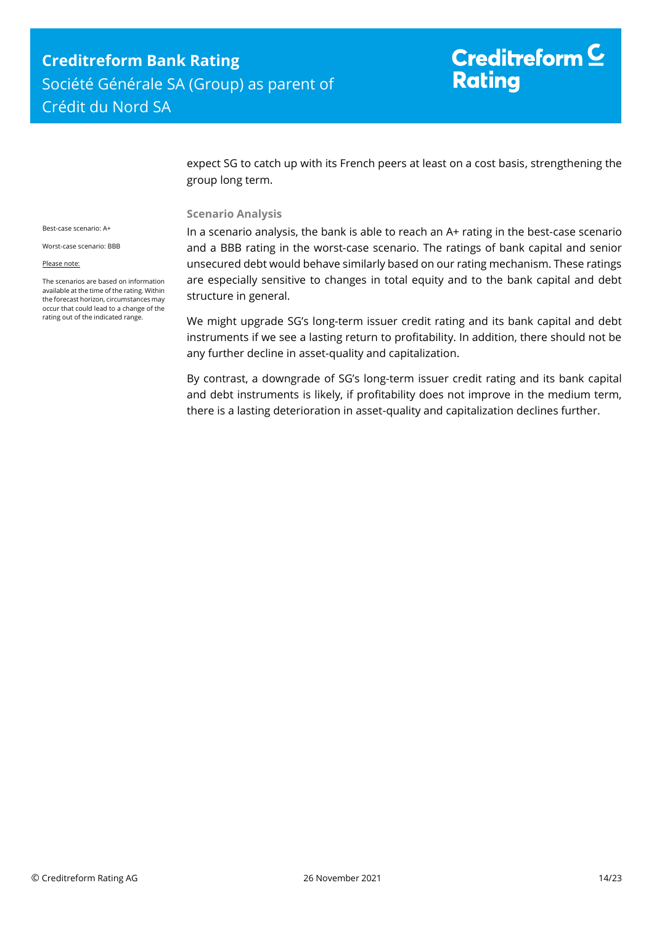expect SG to catch up with its French peers at least on a cost basis, strengthening the group long term.

#### **Scenario Analysis**

Best-case scenario: A+

Worst-case scenario: BBB

Please note:

The scenarios are based on information available at the time of the rating. Within the forecast horizon, circumstances may occur that could lead to a change of the rating out of the indicated range.

In a scenario analysis, the bank is able to reach an A+ rating in the best-case scenario and a BBB rating in the worst-case scenario. The ratings of bank capital and senior unsecured debt would behave similarly based on our rating mechanism. These ratings are especially sensitive to changes in total equity and to the bank capital and debt structure in general.

We might upgrade SG's long-term issuer credit rating and its bank capital and debt instruments if we see a lasting return to profitability. In addition, there should not be any further decline in asset-quality and capitalization.

By contrast, a downgrade of SG's long-term issuer credit rating and its bank capital and debt instruments is likely, if profitability does not improve in the medium term, there is a lasting deterioration in asset-quality and capitalization declines further.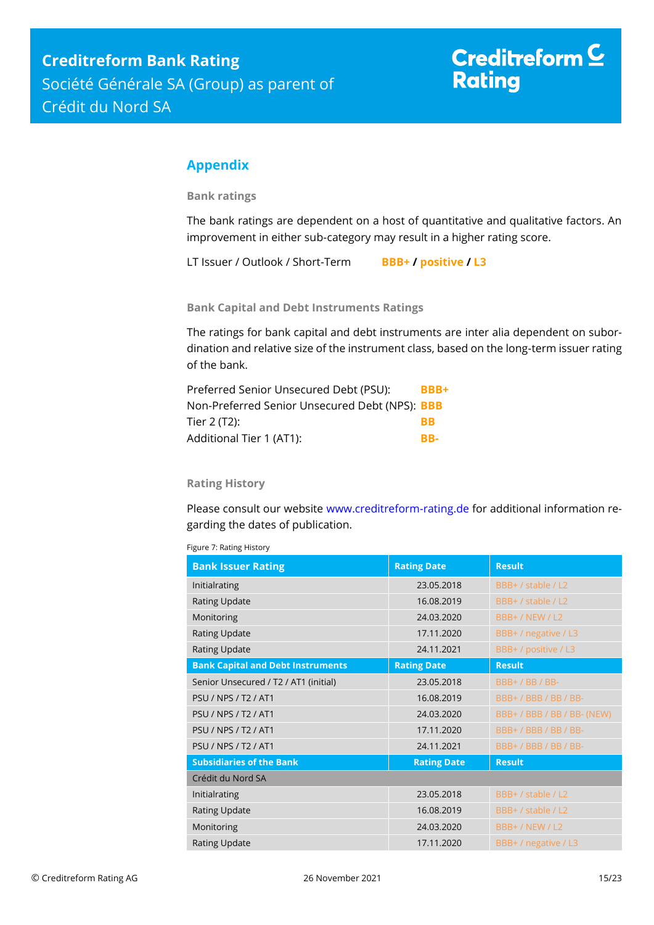## <span id="page-14-0"></span>**Appendix**

**Bank ratings**

The bank ratings are dependent on a host of quantitative and qualitative factors. An improvement in either sub-category may result in a higher rating score.

LT Issuer / Outlook / Short-Term **BBB+ / positive / L3**

**Bank Capital and Debt Instruments Ratings**

The ratings for bank capital and debt instruments are inter alia dependent on subordination and relative size of the instrument class, based on the long-term issuer rating of the bank.

| Preferred Senior Unsecured Debt (PSU):         | BBB+      |
|------------------------------------------------|-----------|
| Non-Preferred Senior Unsecured Debt (NPS): BBB |           |
| Tier 2 (T2): l                                 | <b>RR</b> |
| Additional Tier 1 (AT1):                       | RR-       |

#### **Rating History**

Please consult our website [www.creditreform-rating.de](http://www.creditreform-rating.de/) for additional information regarding the dates of publication.

| Figure 7: Rating History |  |
|--------------------------|--|
|                          |  |

| <b>Bank Issuer Rating</b>                | <b>Rating Date</b> | <b>Result</b>        |
|------------------------------------------|--------------------|----------------------|
| Initialrating                            | 23.05.2018         | BBB+ / stable / L2   |
| <b>Rating Update</b>                     | 16.08.2019         | BBB+ / stable / L2   |
| Monitoring                               | 24.03.2020         | BBB+/NEW/L2          |
| <b>Rating Update</b>                     | 17.11.2020         | BBB+ / negative / L3 |
| Rating Update                            | 24.11.2021         | BBB+ / positive / L3 |
| <b>Bank Capital and Debt Instruments</b> | <b>Rating Date</b> | <b>Result</b>        |
| Senior Unsecured / T2 / AT1 (initial)    | 23.05.2018         | BBB+/BB/BB-          |
| <b>PSU / NPS / T2 / AT1</b>              | 16.08.2019         | BBB+/BBB/BB/BB-      |
| <b>PSU / NPS / T2 / AT1</b>              | 24.03.2020         | BBB+/BBB/BB/BB-(NEW) |
| <b>PSU / NPS / T2 / AT1</b>              | 17.11.2020         | BBB+/BBB/BB/BB-      |
| <b>PSU / NPS / T2 / AT1</b>              | 24.11.2021         | BBB+/BBB/BB/BB-      |
| <b>Subsidiaries of the Bank</b>          | <b>Rating Date</b> | <b>Result</b>        |
| Crédit du Nord SA                        |                    |                      |
| Initialrating                            | 23.05.2018         | BBB+ / stable / L2   |
| <b>Rating Update</b>                     | 16.08.2019         | BBB+ / stable / L2   |
| Monitoring                               | 24.03.2020         | BBB+/NEW/L2          |
| <b>Rating Update</b>                     | 17.11.2020         | BBB+ / negative / L3 |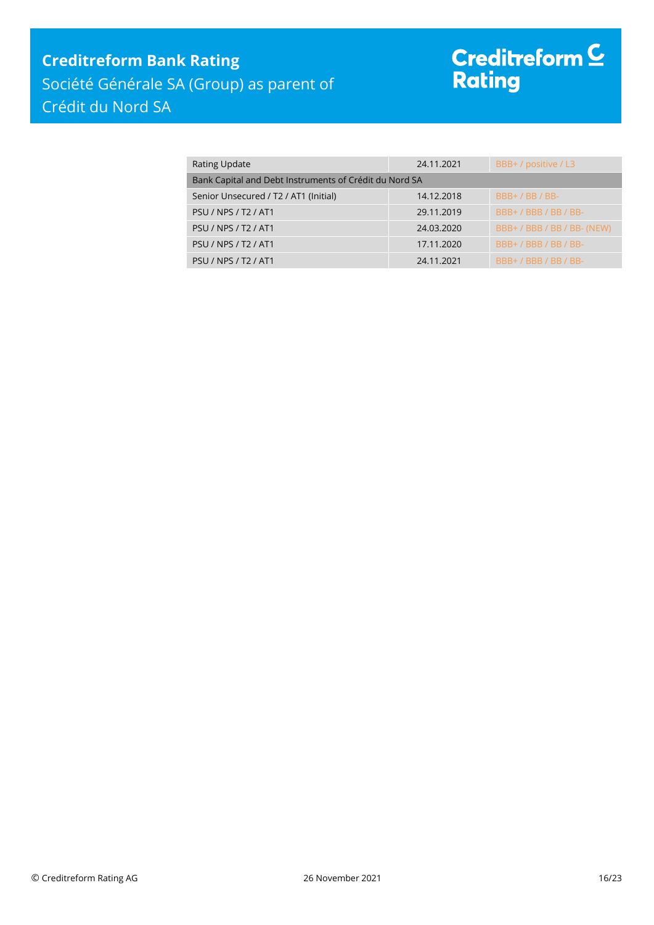## **Creditreform Bank Rating** Société Générale SA (Group) as parent of Crédit du Nord SA

# Creditreform <sup>C</sup><br>Rating

| <b>Rating Update</b>                                   | 24.11.2021 | BBB+ / positive / L3        |
|--------------------------------------------------------|------------|-----------------------------|
| Bank Capital and Debt Instruments of Crédit du Nord SA |            |                             |
| Senior Unsecured / T2 / AT1 (Initial)                  | 14.12.2018 | $BBB+ / BB / BB-$           |
| <b>PSU / NPS / T2 / AT1</b>                            | 29.11.2019 | $BBB+ / BBB / BB / BB$      |
| <b>PSU / NPS / T2 / AT1</b>                            | 24.03.2020 | BBB+ / BBB / BB / BB- (NEW) |
| <b>PSU / NPS / T2 / AT1</b>                            | 17.11.2020 | BBB+/BBB/BB/BB-             |
| <b>PSU / NPS / T2 / AT1</b>                            | 24.11.2021 | BBB+/BBB/BB/BB-             |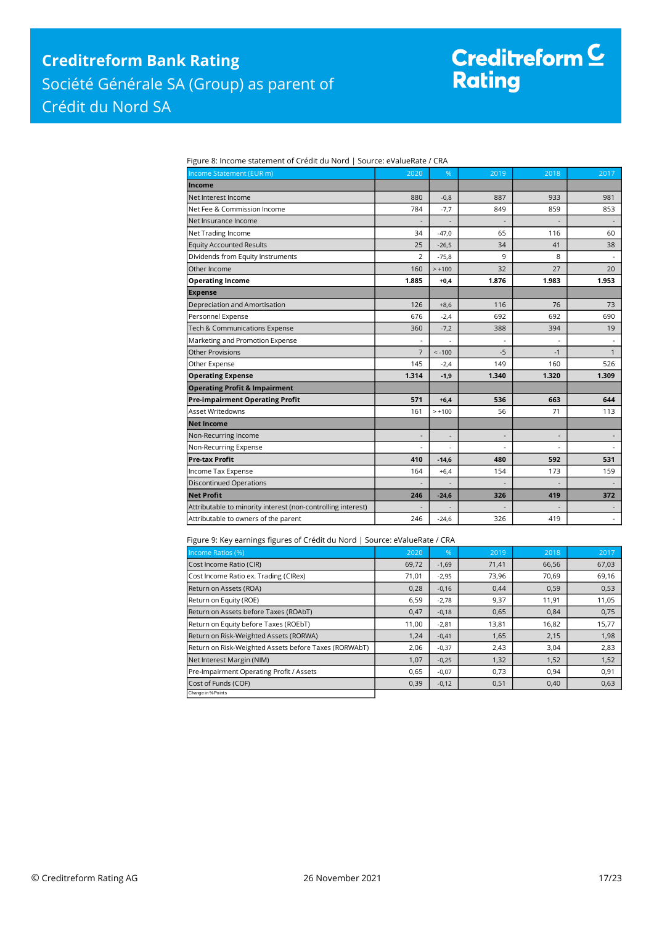## **Creditreform Bank Rating** Société Générale SA (Group) as parent of Crédit du Nord SA

# Creditreform C<br>Rating

Figure 8: Income statement of Crédit du Nord | Source: eValueRate / CRA

| Income Statement (EUR m)                                     | 2020                     | %        | 2019  | 2018           | 2017                     |
|--------------------------------------------------------------|--------------------------|----------|-------|----------------|--------------------------|
| Income                                                       |                          |          |       |                |                          |
| Net Interest Income                                          | 880                      | $-0,8$   | 887   | 933            | 981                      |
| Net Fee & Commission Income                                  | 784                      | $-7,7$   | 849   | 859            | 853                      |
| Net Insurance Income                                         |                          |          |       |                |                          |
| Net Trading Income                                           | 34                       | $-47,0$  | 65    | 116            | 60                       |
| <b>Equity Accounted Results</b>                              | 25                       | $-26,5$  | 34    | 41             | 38                       |
| Dividends from Equity Instruments                            | $\overline{2}$           | $-75,8$  | 9     | 8              |                          |
| Other Income                                                 | 160                      | $> +100$ | 32    | 27             | 20                       |
| <b>Operating Income</b>                                      | 1.885                    | $+0,4$   | 1.876 | 1.983          | 1.953                    |
| <b>Expense</b>                                               |                          |          |       |                |                          |
| Depreciation and Amortisation                                | 126                      | $+8,6$   | 116   | 76             | 73                       |
| Personnel Expense                                            | 676                      | $-2,4$   | 692   | 692            | 690                      |
| Tech & Communications Expense                                | 360                      | $-7,2$   | 388   | 394            | 19                       |
| Marketing and Promotion Expense                              |                          |          |       |                |                          |
| <b>Other Provisions</b>                                      | $\overline{7}$           | $< -100$ | $-5$  | $-1$           | $\mathbf{1}$             |
| Other Expense                                                | 145                      | $-2,4$   | 149   | 160            | 526                      |
| <b>Operating Expense</b>                                     | 1.314                    | $-1,9$   | 1.340 | 1.320          | 1.309                    |
| <b>Operating Profit &amp; Impairment</b>                     |                          |          |       |                |                          |
| <b>Pre-impairment Operating Profit</b>                       | 571                      | $+6,4$   | 536   | 663            | 644                      |
| <b>Asset Writedowns</b>                                      | 161                      | $> +100$ | 56    | 71             | 113                      |
| <b>Net Income</b>                                            |                          |          |       |                |                          |
| Non-Recurring Income                                         | $\overline{\phantom{a}}$ |          |       | $\overline{a}$ |                          |
| Non-Recurring Expense                                        |                          |          |       |                |                          |
| <b>Pre-tax Profit</b>                                        | 410                      | $-14,6$  | 480   | 592            | 531                      |
| Income Tax Expense                                           | 164                      | $+6,4$   | 154   | 173            | 159                      |
| <b>Discontinued Operations</b>                               |                          |          |       |                |                          |
| <b>Net Profit</b>                                            | 246                      | $-24,6$  | 326   | 419            | 372                      |
| Attributable to minority interest (non-controlling interest) |                          |          |       |                | $\overline{\phantom{a}}$ |
| Attributable to owners of the parent                         | 246                      | $-24,6$  | 326   | 419            | $\sim$                   |

#### Figure 9: Key earnings figures of Crédit du Nord | Source: eValueRate / CRA

| Income Ratios (%)                                     | 2020  | $\%$    | 2019  | 2018  | 2017  |
|-------------------------------------------------------|-------|---------|-------|-------|-------|
| Cost Income Ratio (CIR)                               | 69,72 | $-1,69$ | 71,41 | 66,56 | 67,03 |
| Cost Income Ratio ex. Trading (CIRex)                 | 71,01 | $-2,95$ | 73,96 | 70,69 | 69,16 |
| Return on Assets (ROA)                                | 0,28  | $-0,16$ | 0,44  | 0,59  | 0,53  |
| Return on Equity (ROE)                                | 6,59  | $-2,78$ | 9,37  | 11,91 | 11,05 |
| Return on Assets before Taxes (ROAbT)                 | 0,47  | $-0,18$ | 0,65  | 0,84  | 0,75  |
| Return on Equity before Taxes (ROEbT)                 | 11,00 | $-2,81$ | 13,81 | 16,82 | 15,77 |
| Return on Risk-Weighted Assets (RORWA)                | 1,24  | $-0,41$ | 1,65  | 2,15  | 1,98  |
| Return on Risk-Weighted Assets before Taxes (RORWAbT) | 2,06  | $-0,37$ | 2,43  | 3,04  | 2,83  |
| Net Interest Margin (NIM)                             | 1,07  | $-0,25$ | 1,32  | 1,52  | 1,52  |
| Pre-Impairment Operating Profit / Assets              | 0,65  | $-0,07$ | 0,73  | 0,94  | 0,91  |
| Cost of Funds (COF)                                   | 0,39  | $-0,12$ | 0,51  | 0,40  | 0,63  |
| Change in % Points                                    |       |         |       |       |       |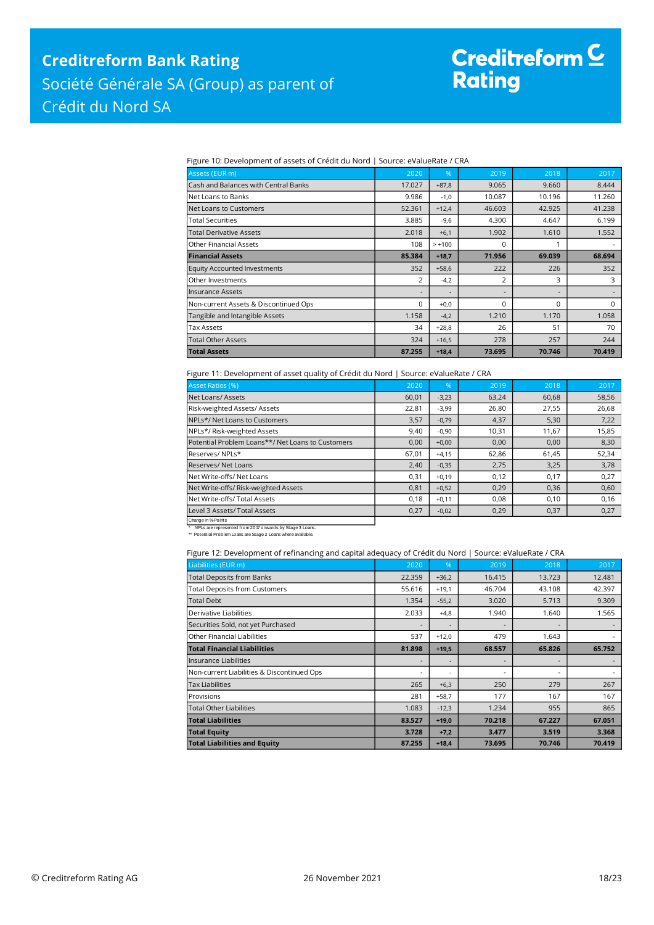# Creditreform <mark>C</mark><br>Rating

Figure 10: Development of assets of Crédit du Nord | Source: eValueRate / CRA

| Assets (EUR m)                        | 2020                     | %                        | 2019     | 2018     | 2017     |
|---------------------------------------|--------------------------|--------------------------|----------|----------|----------|
| Cash and Balances with Central Banks  | 17.027                   | $+87,8$                  | 9.065    | 9.660    | 8.444    |
| lNet Loans to Banks                   | 9.986                    | $-1,0$                   | 10.087   | 10.196   | 11.260   |
| Net Loans to Customers                | 52.361                   | $+12,4$                  | 46.603   | 42.925   | 41.238   |
| Total Securities                      | 3.885                    | $-9,6$                   | 4.300    | 4.647    | 6.199    |
| Total Derivative Assets               | 2.018                    | $+6.1$                   | 1.902    | 1.610    | 1.552    |
| lOther Financial Assets               | 108                      | $> +100$                 | $\Omega$ | 1        |          |
| <b>Financial Assets</b>               | 85.384                   | $+18,7$                  | 71.956   | 69.039   | 68.694   |
| <b>Equity Accounted Investments</b>   | 352                      | $+58,6$                  | 222      | 226      | 352      |
| Other Investments                     | 2                        | $-4,2$                   | 2        | 3        | 3        |
| llnsurance Assets                     | $\overline{\phantom{a}}$ | $\overline{\phantom{a}}$ |          | ٠        |          |
| Non-current Assets & Discontinued Ops | 0                        | $+0.0$                   | $\Omega$ | $\Omega$ | $\Omega$ |
| Tangible and Intangible Assets        | 1.158                    | $-4,2$                   | 1.210    | 1.170    | 1.058    |
| Tax Assets                            | 34                       | $+28,8$                  | 26       | 51       | 70       |
| Total Other Assets                    | 324                      | $+16,5$                  | 278      | 257      | 244      |
| <b>Total Assets</b>                   | 87.255                   | $+18,4$                  | 73.695   | 70.746   | 70.419   |

Figure 11: Development of asset quality of Crédit du Nord | Source: eValueRate / CRA

| <b>Asset Ratios (%)</b>                           | 2020  | %       | 2019  | 2018  | 2017  |
|---------------------------------------------------|-------|---------|-------|-------|-------|
| Net Loans/Assets                                  | 60,01 | $-3,23$ | 63,24 | 60,68 | 58,56 |
| Risk-weighted Assets/Assets                       | 22,81 | $-3,99$ | 26,80 | 27,55 | 26,68 |
| NPLs*/ Net Loans to Customers                     | 3,57  | $-0,79$ | 4,37  | 5,30  | 7,22  |
| NPLs*/Risk-weighted Assets                        | 9,40  | $-0,90$ | 10,31 | 11,67 | 15,85 |
| Potential Problem Loans**/ Net Loans to Customers | 0,00  | $+0,00$ | 0,00  | 0,00  | 8,30  |
| Reserves/NPLs*                                    | 67,01 | $+4,15$ | 62,86 | 61,45 | 52,34 |
| Reserves/Net Loans                                | 2,40  | $-0,35$ | 2,75  | 3,25  | 3,78  |
| Net Write-offs/Net Loans                          | 0,31  | $+0,19$ | 0,12  | 0,17  | 0,27  |
| Net Write-offs/ Risk-weighted Assets              | 0,81  | $+0,52$ | 0,29  | 0,36  | 0,60  |
| Net Write-offs/ Total Assets                      | 0,18  | $+0,11$ | 0.08  | 0,10  | 0,16  |
| Level 3 Assets/ Total Assets                      | 0,27  | $-0,02$ | 0,29  | 0,37  | 0,27  |
| Change in % Points                                |       |         |       |       |       |

\* NPLs are represented from 2017 onwards by Stage 3 Loans. \*\* Potential Problem Loans are Stage 2 Loans where available.

Figure 12: Development of refinancing and capital adequacy of Crédit du Nord | Source: eValueRate / CRA

| Liabilities (EUR m)                        | 2020                     | %                            | 2019   | 2018                     | 2017   |
|--------------------------------------------|--------------------------|------------------------------|--------|--------------------------|--------|
| <b>Total Deposits from Banks</b>           | 22.359                   | $+36,2$                      | 16.415 | 13.723                   | 12.481 |
| <b>Total Deposits from Customers</b>       | 55.616                   | $+19,1$                      | 46.704 | 43.108                   | 42.397 |
| <b>Total Debt</b>                          | 1.354                    | $-55,2$                      | 3.020  | 5.713                    | 9.309  |
| Derivative Liabilities                     | 2.033                    | $+4,8$                       | 1.940  | 1.640                    | 1.565  |
| Securities Sold, not yet Purchased         |                          | ٠                            |        |                          |        |
| Other Financial Liabilities                | 537                      | $+12,0$                      | 479    | 1.643                    |        |
| <b>Total Financial Liabilities</b>         | 81.898                   | $+19,5$                      | 68.557 | 65.826                   | 65.752 |
| llnsurance Liabilities                     | ۰                        | $\qquad \qquad \blacksquare$ |        |                          |        |
| Non-current Liabilities & Discontinued Ops | $\overline{\phantom{a}}$ | ٠                            |        | $\overline{\phantom{a}}$ |        |
| <b>Tax Liabilities</b>                     | 265                      | $+6,3$                       | 250    | 279                      | 267    |
| Provisions                                 | 281                      | $+58,7$                      | 177    | 167                      | 167    |
| <b>Total Other Liabilities</b>             | 1.083                    | $-12,3$                      | 1.234  | 955                      | 865    |
| <b>Total Liabilities</b>                   | 83.527                   | $+19,0$                      | 70.218 | 67.227                   | 67.051 |
| <b>Total Equity</b>                        | 3.728                    | $+7,2$                       | 3.477  | 3.519                    | 3.368  |
| <b>Total Liabilities and Equity</b>        | 87.255                   | $+18,4$                      | 73.695 | 70.746                   | 70.419 |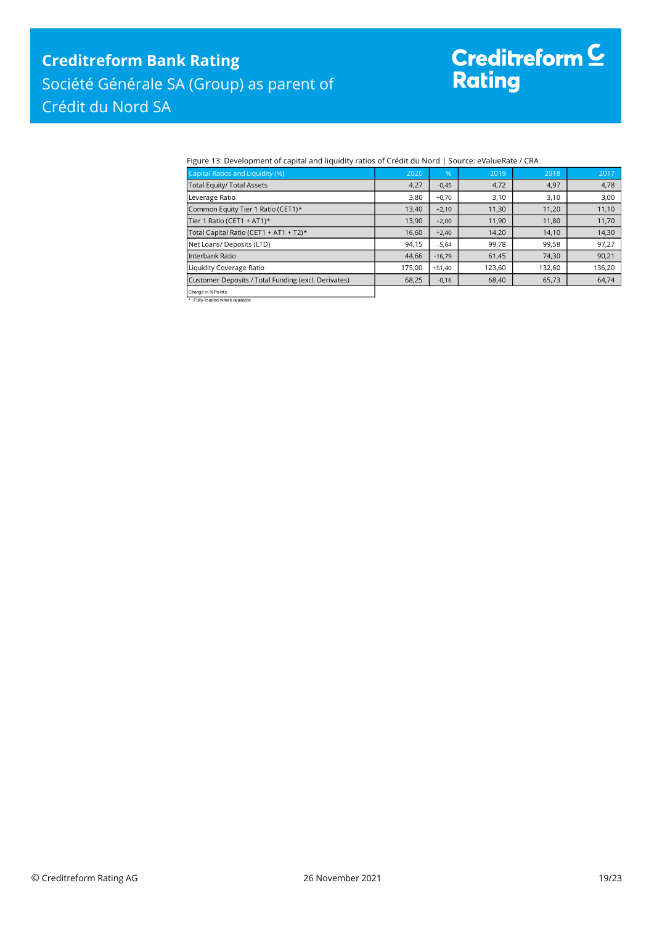# Creditreform <sup>C</sup><br>Rating

#### Figure 13: Development of capital and liquidity ratios of Crédit du Nord | Source: eValueRate / CRA

| Capital Ratios and Liquidity (%)                    | 2020   | %        | 2019   | 2018   | 2017   |
|-----------------------------------------------------|--------|----------|--------|--------|--------|
| <b>Total Equity/ Total Assets</b>                   | 4,27   | $-0,45$  | 4,72   | 4,97   | 4,78   |
| Leverage Ratio                                      | 3,80   | $+0,70$  | 3,10   | 3,10   | 3,00   |
| Common Equity Tier 1 Ratio (CET1)*                  | 13,40  | $+2,10$  | 11,30  | 11,20  | 11,10  |
| Tier 1 Ratio (CET1 + AT1)*                          | 13,90  | $+2,00$  | 11,90  | 11,80  | 11,70  |
| Total Capital Ratio (CET1 + AT1 + T2)*              | 16,60  | $+2,40$  | 14,20  | 14,10  | 14,30  |
| Net Loans/ Deposits (LTD)                           | 94,15  | $-5,64$  | 99,78  | 99,58  | 97,27  |
| Interbank Ratio                                     | 44,66  | $-16,79$ | 61,45  | 74,30  | 90,21  |
| Liquidity Coverage Ratio                            | 175.00 | $+51.40$ | 123,60 | 132,60 | 136,20 |
| Customer Deposits / Total Funding (excl. Derivates) | 68,25  | $-0,16$  | 68,40  | 65,73  | 64,74  |
| Change in % Points                                  |        |          |        |        |        |

Change in %-Points \* Fully-loaded where available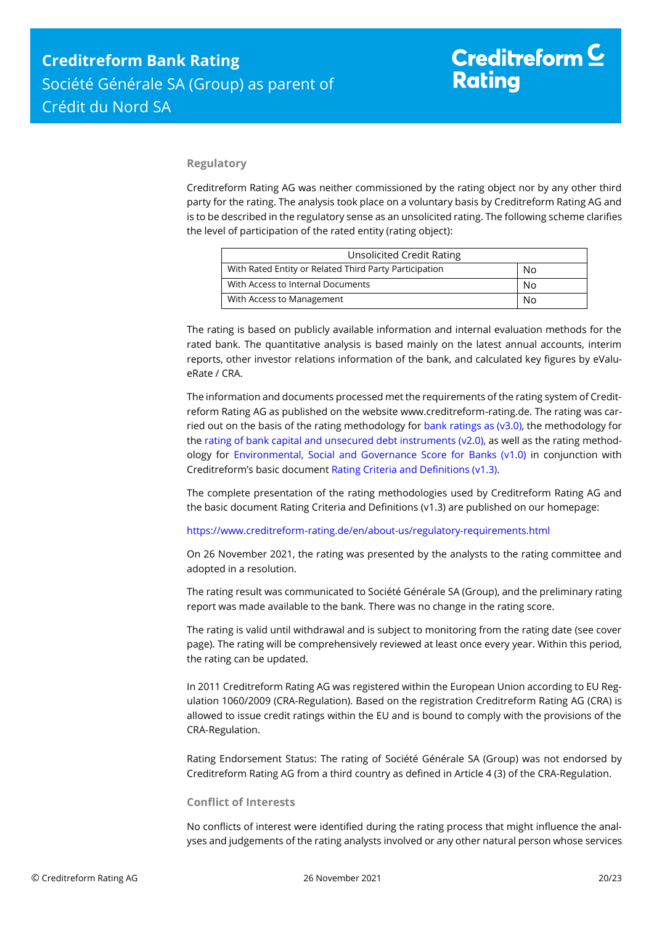#### **Regulatory**

Creditreform Rating AG was neither commissioned by the rating object nor by any other third party for the rating. The analysis took place on a voluntary basis by Creditreform Rating AG and is to be described in the regulatory sense as an unsolicited rating. The following scheme clarifies the level of participation of the rated entity (rating object):

| <b>Unsolicited Credit Rating</b>                       |    |
|--------------------------------------------------------|----|
| With Rated Entity or Related Third Party Participation | No |
| With Access to Internal Documents                      | No |
| With Access to Management                              | No |

The rating is based on publicly available information and internal evaluation methods for the rated bank. The quantitative analysis is based mainly on the latest annual accounts, interim reports, other investor relations information of the bank, and calculated key figures by eValueRate / CRA.

The information and documents processed met the requirements of the rating system of Creditreform Rating AG as published on the website www.creditreform-rating.de. The rating was carried out on the basis of the rating methodology for bank ratings as ( $v3.0$ ), the methodology for the [rating of bank capital and unsecured debt instruments \(v2.0\),](https://www.creditreform-rating.de/en/about-us/regulatory-requirements.html?file=files/content/downloads/Externes%20Rating/Regulatorische%20Anforderungen/EN/Ratingmethodiken%20EN/Bank%20Capital%20and%20Unsecured%20Debt%20Instruments%20Methodology.pdf) as well as the rating methodology for [Environmental, Social and Governance Score for Banks \(v1.0\)](https://www.creditreform-rating.de/en/about-us/regulatory-requirements.html?file=files/content/downloads/Externes%20Rating/Regulatorische%20Anforderungen/EN/Ratingmethodiken%20EN/Rating%20Methodology%20ESG%20v1.0.pdf) in conjunction with Creditreform's basic document [Rating Criteria and Definitions \(v1.3\).](https://www.creditreform-rating.de/en/about-us/regulatory-requirements.html?file=files/content/downloads/Externes%20Rating/Regulatorische%20Anforderungen/EN/Ratingmethodiken%20EN/CRAG%20Rating%20Criteria%20and%20Definitions.pdf)

The complete presentation of the rating methodologies used by Creditreform Rating AG and the basic document Rating Criteria and Definitions (v1.3) are published on our homepage:

<https://www.creditreform-rating.de/en/about-us/regulatory-requirements.html>

On 26 November 2021, the rating was presented by the analysts to the rating committee and adopted in a resolution.

The rating result was communicated to Société Générale SA (Group), and the preliminary rating report was made available to the bank. There was no change in the rating score.

The rating is valid until withdrawal and is subject to monitoring from the rating date (see cover page). The rating will be comprehensively reviewed at least once every year. Within this period, the rating can be updated.

In 2011 Creditreform Rating AG was registered within the European Union according to EU Regulation 1060/2009 (CRA-Regulation). Based on the registration Creditreform Rating AG (CRA) is allowed to issue credit ratings within the EU and is bound to comply with the provisions of the CRA-Regulation.

Rating Endorsement Status: The rating of Société Générale SA (Group) was not endorsed by Creditreform Rating AG from a third country as defined in Article 4 (3) of the CRA-Regulation.

#### **Conflict of Interests**

No conflicts of interest were identified during the rating process that might influence the analyses and judgements of the rating analysts involved or any other natural person whose services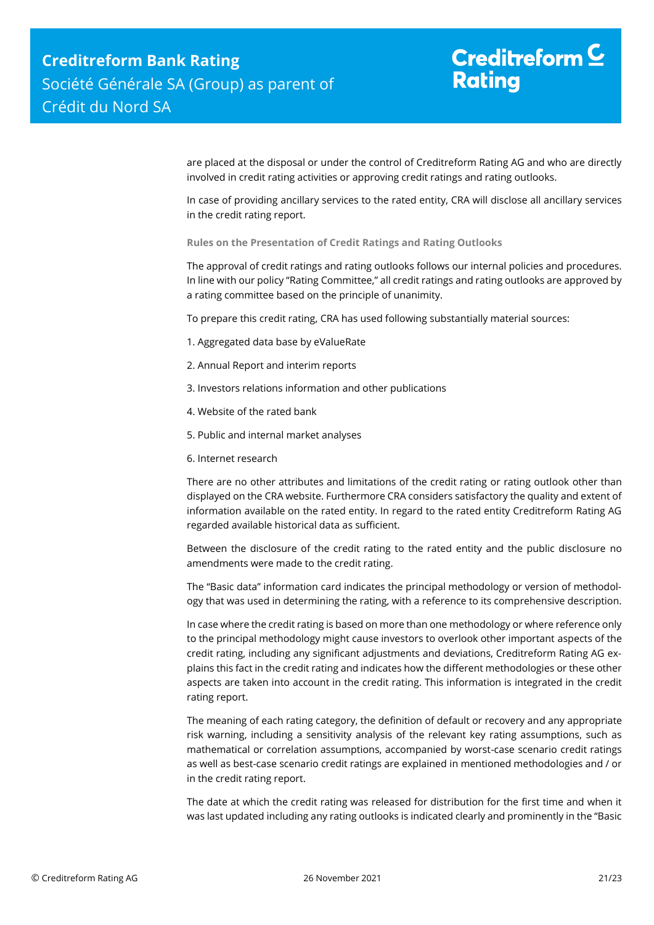are placed at the disposal or under the control of Creditreform Rating AG and who are directly involved in credit rating activities or approving credit ratings and rating outlooks.

In case of providing ancillary services to the rated entity, CRA will disclose all ancillary services in the credit rating report.

**Rules on the Presentation of Credit Ratings and Rating Outlooks**

The approval of credit ratings and rating outlooks follows our internal policies and procedures. In line with our policy "Rating Committee," all credit ratings and rating outlooks are approved by a rating committee based on the principle of unanimity.

To prepare this credit rating, CRA has used following substantially material sources:

- 1. Aggregated data base by eValueRate
- 2. Annual Report and interim reports
- 3. Investors relations information and other publications
- 4. Website of the rated bank
- 5. Public and internal market analyses
- 6. Internet research

There are no other attributes and limitations of the credit rating or rating outlook other than displayed on the CRA website. Furthermore CRA considers satisfactory the quality and extent of information available on the rated entity. In regard to the rated entity Creditreform Rating AG regarded available historical data as sufficient.

Between the disclosure of the credit rating to the rated entity and the public disclosure no amendments were made to the credit rating.

The "Basic data" information card indicates the principal methodology or version of methodology that was used in determining the rating, with a reference to its comprehensive description.

In case where the credit rating is based on more than one methodology or where reference only to the principal methodology might cause investors to overlook other important aspects of the credit rating, including any significant adjustments and deviations, Creditreform Rating AG explains this fact in the credit rating and indicates how the different methodologies or these other aspects are taken into account in the credit rating. This information is integrated in the credit rating report.

The meaning of each rating category, the definition of default or recovery and any appropriate risk warning, including a sensitivity analysis of the relevant key rating assumptions, such as mathematical or correlation assumptions, accompanied by worst-case scenario credit ratings as well as best-case scenario credit ratings are explained in mentioned methodologies and / or in the credit rating report.

The date at which the credit rating was released for distribution for the first time and when it was last updated including any rating outlooks is indicated clearly and prominently in the "Basic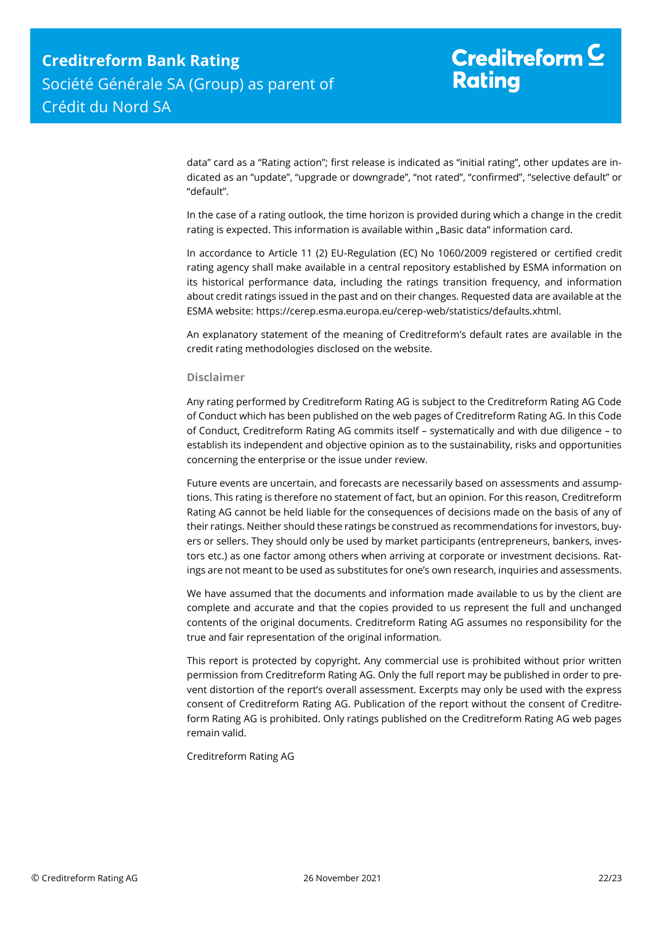data" card as a "Rating action"; first release is indicated as "initial rating", other updates are indicated as an "update", "upgrade or downgrade", "not rated", "confirmed", "selective default" or "default".

In the case of a rating outlook, the time horizon is provided during which a change in the credit rating is expected. This information is available within "Basic data" information card.

In accordance to Article 11 (2) EU-Regulation (EC) No 1060/2009 registered or certified credit rating agency shall make available in a central repository established by ESMA information on its historical performance data, including the ratings transition frequency, and information about credit ratings issued in the past and on their changes. Requested data are available at the ESMA website: https://cerep.esma.europa.eu/cerep-web/statistics/defaults.xhtml.

An explanatory statement of the meaning of Creditreform's default rates are available in the credit rating methodologies disclosed on the website.

#### **Disclaimer**

Any rating performed by Creditreform Rating AG is subject to the Creditreform Rating AG Code of Conduct which has been published on the web pages of Creditreform Rating AG. In this Code of Conduct, Creditreform Rating AG commits itself – systematically and with due diligence – to establish its independent and objective opinion as to the sustainability, risks and opportunities concerning the enterprise or the issue under review.

Future events are uncertain, and forecasts are necessarily based on assessments and assumptions. This rating is therefore no statement of fact, but an opinion. For this reason, Creditreform Rating AG cannot be held liable for the consequences of decisions made on the basis of any of their ratings. Neither should these ratings be construed as recommendations for investors, buyers or sellers. They should only be used by market participants (entrepreneurs, bankers, investors etc.) as one factor among others when arriving at corporate or investment decisions. Ratings are not meant to be used as substitutes for one's own research, inquiries and assessments.

We have assumed that the documents and information made available to us by the client are complete and accurate and that the copies provided to us represent the full and unchanged contents of the original documents. Creditreform Rating AG assumes no responsibility for the true and fair representation of the original information.

This report is protected by copyright. Any commercial use is prohibited without prior written permission from Creditreform Rating AG. Only the full report may be published in order to prevent distortion of the report's overall assessment. Excerpts may only be used with the express consent of Creditreform Rating AG. Publication of the report without the consent of Creditreform Rating AG is prohibited. Only ratings published on the Creditreform Rating AG web pages remain valid.

Creditreform Rating AG